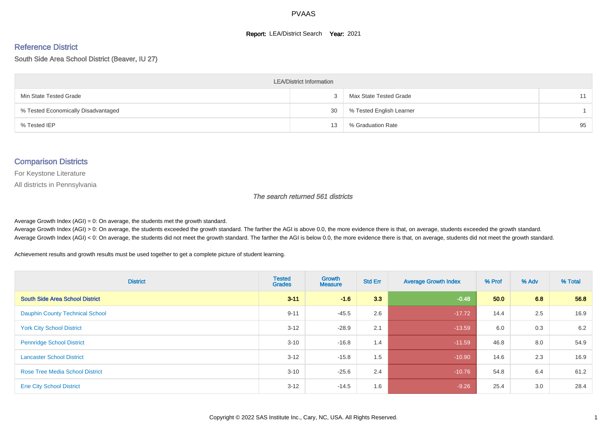#### **Report: LEA/District Search Year: 2021**

#### Reference District

South Side Area School District (Beaver, IU 27)

| <b>LEA/District Information</b>     |    |                          |    |  |  |  |  |  |  |  |
|-------------------------------------|----|--------------------------|----|--|--|--|--|--|--|--|
| Min State Tested Grade              |    | Max State Tested Grade   | 11 |  |  |  |  |  |  |  |
| % Tested Economically Disadvantaged | 30 | % Tested English Learner |    |  |  |  |  |  |  |  |
| % Tested IEP                        | 13 | % Graduation Rate        | 95 |  |  |  |  |  |  |  |

#### Comparison Districts

For Keystone Literature

All districts in Pennsylvania

The search returned 561 districts

Average Growth Index  $(AGI) = 0$ : On average, the students met the growth standard.

Average Growth Index (AGI) > 0: On average, the students exceeded the growth standard. The farther the AGI is above 0.0, the more evidence there is that, on average, students exceeded the growth standard. Average Growth Index (AGI) < 0: On average, the students did not meet the growth standard. The farther the AGI is below 0.0, the more evidence there is that, on average, students did not meet the growth standard.

Achievement results and growth results must be used together to get a complete picture of student learning.

| <b>District</b>                        | <b>Tested</b><br><b>Grades</b> | <b>Growth</b><br><b>Measure</b> | <b>Std Err</b> | <b>Average Growth Index</b> | % Prof | % Adv | % Total |
|----------------------------------------|--------------------------------|---------------------------------|----------------|-----------------------------|--------|-------|---------|
| <b>South Side Area School District</b> | $3 - 11$                       | $-1.6$                          | 3.3            | $-0.48$                     | 50.0   | 6.8   | 56.8    |
| <b>Dauphin County Technical School</b> | $9 - 11$                       | $-45.5$                         | 2.6            | $-17.72$                    | 14.4   | 2.5   | 16.9    |
| <b>York City School District</b>       | $3 - 12$                       | $-28.9$                         | 2.1            | $-13.59$                    | 6.0    | 0.3   | 6.2     |
| <b>Pennridge School District</b>       | $3 - 10$                       | $-16.8$                         | 1.4            | $-11.59$                    | 46.8   | 8.0   | 54.9    |
| <b>Lancaster School District</b>       | $3 - 12$                       | $-15.8$                         | 1.5            | $-10.90$                    | 14.6   | 2.3   | 16.9    |
| <b>Rose Tree Media School District</b> | $3 - 10$                       | $-25.6$                         | 2.4            | $-10.76$                    | 54.8   | 6.4   | 61.2    |
| <b>Erie City School District</b>       | $3 - 12$                       | $-14.5$                         | 1.6            | $-9.26$                     | 25.4   | 3.0   | 28.4    |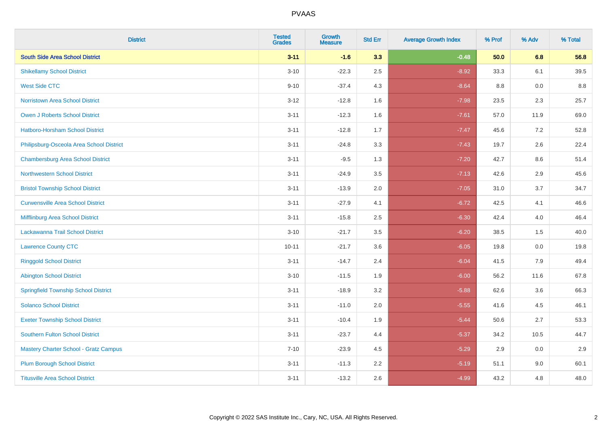| <b>District</b>                              | <b>Tested</b><br><b>Grades</b> | Growth<br><b>Measure</b> | <b>Std Err</b> | <b>Average Growth Index</b> | % Prof | % Adv | % Total |
|----------------------------------------------|--------------------------------|--------------------------|----------------|-----------------------------|--------|-------|---------|
| <b>South Side Area School District</b>       | $3 - 11$                       | $-1.6$                   | 3.3            | $-0.48$                     | 50.0   | 6.8   | 56.8    |
| <b>Shikellamy School District</b>            | $3 - 10$                       | $-22.3$                  | 2.5            | $-8.92$                     | 33.3   | 6.1   | 39.5    |
| <b>West Side CTC</b>                         | $9 - 10$                       | $-37.4$                  | 4.3            | $-8.64$                     | 8.8    | 0.0   | 8.8     |
| Norristown Area School District              | $3 - 12$                       | $-12.8$                  | 1.6            | $-7.98$                     | 23.5   | 2.3   | 25.7    |
| <b>Owen J Roberts School District</b>        | $3 - 11$                       | $-12.3$                  | 1.6            | $-7.61$                     | 57.0   | 11.9  | 69.0    |
| Hatboro-Horsham School District              | $3 - 11$                       | $-12.8$                  | 1.7            | $-7.47$                     | 45.6   | 7.2   | 52.8    |
| Philipsburg-Osceola Area School District     | $3 - 11$                       | $-24.8$                  | 3.3            | $-7.43$                     | 19.7   | 2.6   | 22.4    |
| <b>Chambersburg Area School District</b>     | $3 - 11$                       | $-9.5$                   | 1.3            | $-7.20$                     | 42.7   | 8.6   | 51.4    |
| <b>Northwestern School District</b>          | $3 - 11$                       | $-24.9$                  | 3.5            | $-7.13$                     | 42.6   | 2.9   | 45.6    |
| <b>Bristol Township School District</b>      | $3 - 11$                       | $-13.9$                  | 2.0            | $-7.05$                     | 31.0   | 3.7   | 34.7    |
| <b>Curwensville Area School District</b>     | $3 - 11$                       | $-27.9$                  | 4.1            | $-6.72$                     | 42.5   | 4.1   | 46.6    |
| Mifflinburg Area School District             | $3 - 11$                       | $-15.8$                  | 2.5            | $-6.30$                     | 42.4   | 4.0   | 46.4    |
| Lackawanna Trail School District             | $3 - 10$                       | $-21.7$                  | 3.5            | $-6.20$                     | 38.5   | 1.5   | 40.0    |
| <b>Lawrence County CTC</b>                   | $10 - 11$                      | $-21.7$                  | 3.6            | $-6.05$                     | 19.8   | 0.0   | 19.8    |
| <b>Ringgold School District</b>              | $3 - 11$                       | $-14.7$                  | 2.4            | $-6.04$                     | 41.5   | 7.9   | 49.4    |
| <b>Abington School District</b>              | $3 - 10$                       | $-11.5$                  | 1.9            | $-6.00$                     | 56.2   | 11.6  | 67.8    |
| <b>Springfield Township School District</b>  | $3 - 11$                       | $-18.9$                  | 3.2            | $-5.88$                     | 62.6   | 3.6   | 66.3    |
| <b>Solanco School District</b>               | $3 - 11$                       | $-11.0$                  | 2.0            | $-5.55$                     | 41.6   | 4.5   | 46.1    |
| <b>Exeter Township School District</b>       | $3 - 11$                       | $-10.4$                  | 1.9            | $-5.44$                     | 50.6   | 2.7   | 53.3    |
| <b>Southern Fulton School District</b>       | $3 - 11$                       | $-23.7$                  | 4.4            | $-5.37$                     | 34.2   | 10.5  | 44.7    |
| <b>Mastery Charter School - Gratz Campus</b> | $7 - 10$                       | $-23.9$                  | 4.5            | $-5.29$                     | 2.9    | 0.0   | 2.9     |
| <b>Plum Borough School District</b>          | $3 - 11$                       | $-11.3$                  | 2.2            | $-5.19$                     | 51.1   | 9.0   | 60.1    |
| <b>Titusville Area School District</b>       | $3 - 11$                       | $-13.2$                  | 2.6            | $-4.99$                     | 43.2   | 4.8   | 48.0    |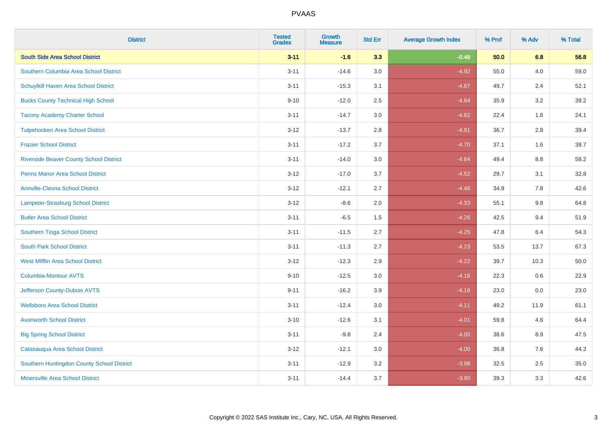| <b>District</b>                                | <b>Tested</b><br><b>Grades</b> | Growth<br><b>Measure</b> | <b>Std Err</b> | <b>Average Growth Index</b> | % Prof | % Adv   | % Total  |
|------------------------------------------------|--------------------------------|--------------------------|----------------|-----------------------------|--------|---------|----------|
| <b>South Side Area School District</b>         | $3 - 11$                       | $-1.6$                   | 3.3            | $-0.48$                     | 50.0   | 6.8     | 56.8     |
| Southern Columbia Area School District         | $3 - 11$                       | $-14.6$                  | 3.0            | $-4.92$                     | 55.0   | 4.0     | 59.0     |
| Schuylkill Haven Area School District          | $3 - 11$                       | $-15.3$                  | 3.1            | $-4.87$                     | 49.7   | 2.4     | 52.1     |
| <b>Bucks County Technical High School</b>      | $9 - 10$                       | $-12.0$                  | 2.5            | $-4.84$                     | 35.9   | $3.2\,$ | 39.2     |
| <b>Tacony Academy Charter School</b>           | $3 - 11$                       | $-14.7$                  | 3.0            | $-4.82$                     | 22.4   | 1.8     | 24.1     |
| <b>Tulpehocken Area School District</b>        | $3-12$                         | $-13.7$                  | 2.8            | $-4.81$                     | 36.7   | 2.8     | 39.4     |
| <b>Frazier School District</b>                 | $3 - 11$                       | $-17.2$                  | 3.7            | $-4.70$                     | 37.1   | 1.6     | 38.7     |
| <b>Riverside Beaver County School District</b> | $3 - 11$                       | $-14.0$                  | 3.0            | $-4.64$                     | 49.4   | 8.8     | 58.2     |
| <b>Penns Manor Area School District</b>        | $3 - 12$                       | $-17.0$                  | 3.7            | $-4.52$                     | 29.7   | 3.1     | 32.8     |
| <b>Annville-Cleona School District</b>         | $3 - 12$                       | $-12.1$                  | 2.7            | $-4.46$                     | 34.9   | $7.8\,$ | 42.6     |
| Lampeter-Strasburg School District             | $3-12$                         | $-8.6$                   | 2.0            | $-4.33$                     | 55.1   | 9.8     | 64.8     |
| <b>Butler Area School District</b>             | $3 - 11$                       | $-6.5$                   | 1.5            | $-4.26$                     | 42.5   | 9.4     | 51.9     |
| Southern Tioga School District                 | $3 - 11$                       | $-11.5$                  | 2.7            | $-4.25$                     | 47.8   | 6.4     | 54.3     |
| <b>South Park School District</b>              | $3 - 11$                       | $-11.3$                  | 2.7            | $-4.23$                     | 53.5   | 13.7    | 67.3     |
| <b>West Mifflin Area School District</b>       | $3 - 12$                       | $-12.3$                  | 2.9            | $-4.22$                     | 39.7   | 10.3    | $50.0\,$ |
| Columbia-Montour AVTS                          | $9 - 10$                       | $-12.5$                  | 3.0            | $-4.16$                     | 22.3   | 0.6     | 22.9     |
| Jefferson County-Dubois AVTS                   | $9 - 11$                       | $-16.2$                  | 3.9            | $-4.16$                     | 23.0   | 0.0     | 23.0     |
| <b>Wellsboro Area School District</b>          | $3 - 11$                       | $-12.4$                  | 3.0            | $-4.11$                     | 49.2   | 11.9    | 61.1     |
| <b>Avonworth School District</b>               | $3 - 10$                       | $-12.6$                  | 3.1            | $-4.01$                     | 59.8   | 4.6     | 64.4     |
| <b>Big Spring School District</b>              | $3 - 11$                       | $-9.8$                   | 2.4            | $-4.00$                     | 38.6   | 8.9     | 47.5     |
| Catasauqua Area School District                | $3 - 12$                       | $-12.1$                  | 3.0            | $-4.00$                     | 36.8   | 7.6     | 44.3     |
| Southern Huntingdon County School District     | $3 - 11$                       | $-12.9$                  | 3.2            | $-3.98$                     | 32.5   | 2.5     | 35.0     |
| <b>Minersville Area School District</b>        | $3 - 11$                       | $-14.4$                  | 3.7            | $-3.90$                     | 39.3   | 3.3     | 42.6     |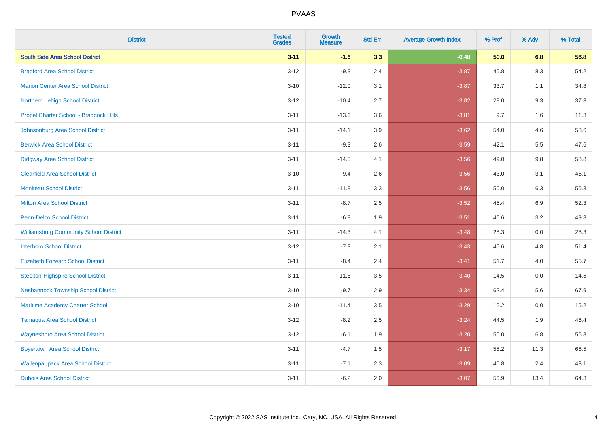| <b>District</b>                               | <b>Tested</b><br><b>Grades</b> | <b>Growth</b><br><b>Measure</b> | <b>Std Err</b> | <b>Average Growth Index</b> | % Prof | % Adv   | % Total |
|-----------------------------------------------|--------------------------------|---------------------------------|----------------|-----------------------------|--------|---------|---------|
| <b>South Side Area School District</b>        | $3 - 11$                       | $-1.6$                          | 3.3            | $-0.48$                     | 50.0   | 6.8     | 56.8    |
| <b>Bradford Area School District</b>          | $3 - 12$                       | $-9.3$                          | 2.4            | $-3.87$                     | 45.8   | $8.3\,$ | 54.2    |
| <b>Marion Center Area School District</b>     | $3 - 10$                       | $-12.0$                         | 3.1            | $-3.87$                     | 33.7   | 1.1     | 34.8    |
| Northern Lehigh School District               | $3 - 12$                       | $-10.4$                         | 2.7            | $-3.82$                     | 28.0   | 9.3     | 37.3    |
| Propel Charter School - Braddock Hills        | $3 - 11$                       | $-13.6$                         | 3.6            | $-3.81$                     | 9.7    | 1.6     | 11.3    |
| Johnsonburg Area School District              | $3 - 11$                       | $-14.1$                         | 3.9            | $-3.62$                     | 54.0   | 4.6     | 58.6    |
| <b>Berwick Area School District</b>           | $3 - 11$                       | $-9.3$                          | 2.6            | $-3.59$                     | 42.1   | 5.5     | 47.6    |
| <b>Ridgway Area School District</b>           | $3 - 11$                       | $-14.5$                         | 4.1            | $-3.56$                     | 49.0   | 9.8     | 58.8    |
| <b>Clearfield Area School District</b>        | $3 - 10$                       | $-9.4$                          | 2.6            | $-3.56$                     | 43.0   | 3.1     | 46.1    |
| <b>Moniteau School District</b>               | $3 - 11$                       | $-11.8$                         | 3.3            | $-3.56$                     | 50.0   | 6.3     | 56.3    |
| <b>Milton Area School District</b>            | $3 - 11$                       | $-8.7$                          | 2.5            | $-3.52$                     | 45.4   | 6.9     | 52.3    |
| <b>Penn-Delco School District</b>             | $3 - 11$                       | $-6.8$                          | 1.9            | $-3.51$                     | 46.6   | 3.2     | 49.8    |
| <b>Williamsburg Community School District</b> | $3 - 11$                       | $-14.3$                         | 4.1            | $-3.48$                     | 28.3   | $0.0\,$ | 28.3    |
| <b>Interboro School District</b>              | $3 - 12$                       | $-7.3$                          | 2.1            | $-3.43$                     | 46.6   | 4.8     | 51.4    |
| <b>Elizabeth Forward School District</b>      | $3 - 11$                       | $-8.4$                          | 2.4            | $-3.41$                     | 51.7   | 4.0     | 55.7    |
| <b>Steelton-Highspire School District</b>     | $3 - 11$                       | $-11.8$                         | 3.5            | $-3.40$                     | 14.5   | $0.0\,$ | 14.5    |
| <b>Neshannock Township School District</b>    | $3 - 10$                       | $-9.7$                          | 2.9            | $-3.34$                     | 62.4   | 5.6     | 67.9    |
| Maritime Academy Charter School               | $3 - 10$                       | $-11.4$                         | 3.5            | $-3.29$                     | 15.2   | 0.0     | 15.2    |
| <b>Tamaqua Area School District</b>           | $3 - 12$                       | $-8.2$                          | 2.5            | $-3.24$                     | 44.5   | 1.9     | 46.4    |
| <b>Waynesboro Area School District</b>        | $3 - 12$                       | $-6.1$                          | 1.9            | $-3.20$                     | 50.0   | 6.8     | 56.8    |
| <b>Boyertown Area School District</b>         | $3 - 11$                       | $-4.7$                          | 1.5            | $-3.17$                     | 55.2   | 11.3    | 66.5    |
| <b>Wallenpaupack Area School District</b>     | $3 - 11$                       | $-7.1$                          | 2.3            | $-3.09$                     | 40.8   | 2.4     | 43.1    |
| <b>Dubois Area School District</b>            | $3 - 11$                       | $-6.2$                          | 2.0            | $-3.07$                     | 50.9   | 13.4    | 64.3    |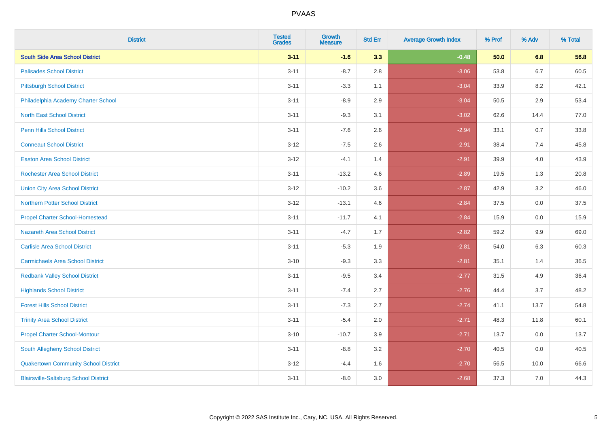| <b>District</b>                              | <b>Tested</b><br><b>Grades</b> | <b>Growth</b><br><b>Measure</b> | <b>Std Err</b> | <b>Average Growth Index</b> | % Prof | % Adv   | % Total |
|----------------------------------------------|--------------------------------|---------------------------------|----------------|-----------------------------|--------|---------|---------|
| <b>South Side Area School District</b>       | $3 - 11$                       | $-1.6$                          | 3.3            | $-0.48$                     | 50.0   | 6.8     | 56.8    |
| <b>Palisades School District</b>             | $3 - 11$                       | $-8.7$                          | 2.8            | $-3.06$                     | 53.8   | $6.7\,$ | 60.5    |
| <b>Pittsburgh School District</b>            | $3 - 11$                       | $-3.3$                          | 1.1            | $-3.04$                     | 33.9   | 8.2     | 42.1    |
| Philadelphia Academy Charter School          | $3 - 11$                       | $-8.9$                          | 2.9            | $-3.04$                     | 50.5   | 2.9     | 53.4    |
| <b>North East School District</b>            | $3 - 11$                       | $-9.3$                          | 3.1            | $-3.02$                     | 62.6   | 14.4    | 77.0    |
| <b>Penn Hills School District</b>            | $3 - 11$                       | $-7.6$                          | 2.6            | $-2.94$                     | 33.1   | 0.7     | 33.8    |
| <b>Conneaut School District</b>              | $3 - 12$                       | $-7.5$                          | 2.6            | $-2.91$                     | 38.4   | 7.4     | 45.8    |
| <b>Easton Area School District</b>           | $3 - 12$                       | $-4.1$                          | 1.4            | $-2.91$                     | 39.9   | 4.0     | 43.9    |
| Rochester Area School District               | $3 - 11$                       | $-13.2$                         | 4.6            | $-2.89$                     | 19.5   | 1.3     | 20.8    |
| <b>Union City Area School District</b>       | $3 - 12$                       | $-10.2$                         | 3.6            | $-2.87$                     | 42.9   | 3.2     | 46.0    |
| <b>Northern Potter School District</b>       | $3-12$                         | $-13.1$                         | 4.6            | $-2.84$                     | 37.5   | 0.0     | 37.5    |
| <b>Propel Charter School-Homestead</b>       | $3 - 11$                       | $-11.7$                         | 4.1            | $-2.84$                     | 15.9   | 0.0     | 15.9    |
| Nazareth Area School District                | $3 - 11$                       | $-4.7$                          | 1.7            | $-2.82$                     | 59.2   | 9.9     | 69.0    |
| <b>Carlisle Area School District</b>         | $3 - 11$                       | $-5.3$                          | 1.9            | $-2.81$                     | 54.0   | 6.3     | 60.3    |
| <b>Carmichaels Area School District</b>      | $3 - 10$                       | $-9.3$                          | 3.3            | $-2.81$                     | 35.1   | 1.4     | 36.5    |
| <b>Redbank Valley School District</b>        | $3 - 11$                       | $-9.5$                          | 3.4            | $-2.77$                     | 31.5   | 4.9     | 36.4    |
| <b>Highlands School District</b>             | $3 - 11$                       | $-7.4$                          | 2.7            | $-2.76$                     | 44.4   | 3.7     | 48.2    |
| <b>Forest Hills School District</b>          | $3 - 11$                       | $-7.3$                          | 2.7            | $-2.74$                     | 41.1   | 13.7    | 54.8    |
| <b>Trinity Area School District</b>          | $3 - 11$                       | $-5.4$                          | 2.0            | $-2.71$                     | 48.3   | 11.8    | 60.1    |
| <b>Propel Charter School-Montour</b>         | $3 - 10$                       | $-10.7$                         | 3.9            | $-2.71$                     | 13.7   | 0.0     | 13.7    |
| South Allegheny School District              | $3 - 11$                       | $-8.8$                          | 3.2            | $-2.70$                     | 40.5   | 0.0     | 40.5    |
| <b>Quakertown Community School District</b>  | $3-12$                         | $-4.4$                          | 1.6            | $-2.70$                     | 56.5   | 10.0    | 66.6    |
| <b>Blairsville-Saltsburg School District</b> | $3 - 11$                       | $-8.0$                          | 3.0            | $-2.68$                     | 37.3   | 7.0     | 44.3    |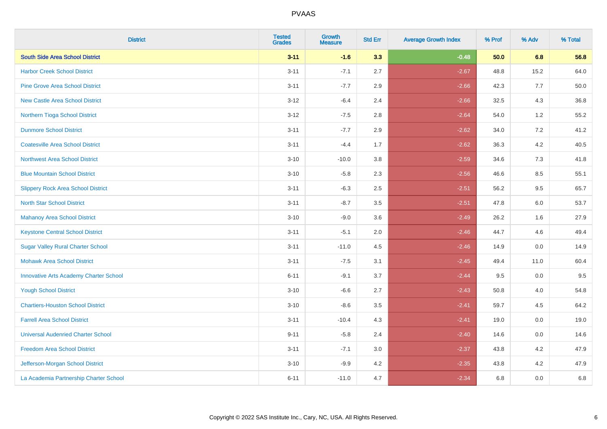| <b>District</b>                               | <b>Tested</b><br><b>Grades</b> | <b>Growth</b><br><b>Measure</b> | <b>Std Err</b> | <b>Average Growth Index</b> | % Prof | % Adv   | % Total |
|-----------------------------------------------|--------------------------------|---------------------------------|----------------|-----------------------------|--------|---------|---------|
| <b>South Side Area School District</b>        | $3 - 11$                       | $-1.6$                          | 3.3            | $-0.48$                     | 50.0   | 6.8     | 56.8    |
| <b>Harbor Creek School District</b>           | $3 - 11$                       | $-7.1$                          | 2.7            | $-2.67$                     | 48.8   | 15.2    | 64.0    |
| <b>Pine Grove Area School District</b>        | $3 - 11$                       | $-7.7$                          | 2.9            | $-2.66$                     | 42.3   | 7.7     | 50.0    |
| <b>New Castle Area School District</b>        | $3-12$                         | $-6.4$                          | 2.4            | $-2.66$                     | 32.5   | $4.3$   | 36.8    |
| Northern Tioga School District                | $3 - 12$                       | $-7.5$                          | 2.8            | $-2.64$                     | 54.0   | 1.2     | 55.2    |
| <b>Dunmore School District</b>                | $3 - 11$                       | $-7.7$                          | 2.9            | $-2.62$                     | 34.0   | 7.2     | 41.2    |
| <b>Coatesville Area School District</b>       | $3 - 11$                       | $-4.4$                          | 1.7            | $-2.62$                     | 36.3   | $4.2\,$ | 40.5    |
| <b>Northwest Area School District</b>         | $3 - 10$                       | $-10.0$                         | 3.8            | $-2.59$                     | 34.6   | 7.3     | 41.8    |
| <b>Blue Mountain School District</b>          | $3 - 10$                       | $-5.8$                          | 2.3            | $-2.56$                     | 46.6   | 8.5     | 55.1    |
| <b>Slippery Rock Area School District</b>     | $3 - 11$                       | $-6.3$                          | 2.5            | $-2.51$                     | 56.2   | $9.5\,$ | 65.7    |
| <b>North Star School District</b>             | $3 - 11$                       | $-8.7$                          | 3.5            | $-2.51$                     | 47.8   | 6.0     | 53.7    |
| <b>Mahanoy Area School District</b>           | $3 - 10$                       | $-9.0$                          | 3.6            | $-2.49$                     | 26.2   | 1.6     | 27.9    |
| <b>Keystone Central School District</b>       | $3 - 11$                       | $-5.1$                          | 2.0            | $-2.46$                     | 44.7   | 4.6     | 49.4    |
| <b>Sugar Valley Rural Charter School</b>      | $3 - 11$                       | $-11.0$                         | 4.5            | $-2.46$                     | 14.9   | $0.0\,$ | 14.9    |
| <b>Mohawk Area School District</b>            | $3 - 11$                       | $-7.5$                          | 3.1            | $-2.45$                     | 49.4   | 11.0    | 60.4    |
| <b>Innovative Arts Academy Charter School</b> | $6 - 11$                       | $-9.1$                          | 3.7            | $-2.44$                     | 9.5    | 0.0     | 9.5     |
| <b>Yough School District</b>                  | $3 - 10$                       | $-6.6$                          | 2.7            | $-2.43$                     | 50.8   | 4.0     | 54.8    |
| <b>Chartiers-Houston School District</b>      | $3 - 10$                       | $-8.6$                          | 3.5            | $-2.41$                     | 59.7   | 4.5     | 64.2    |
| <b>Farrell Area School District</b>           | $3 - 11$                       | $-10.4$                         | 4.3            | $-2.41$                     | 19.0   | 0.0     | 19.0    |
| <b>Universal Audenried Charter School</b>     | $9 - 11$                       | $-5.8$                          | 2.4            | $-2.40$                     | 14.6   | 0.0     | 14.6    |
| <b>Freedom Area School District</b>           | $3 - 11$                       | $-7.1$                          | 3.0            | $-2.37$                     | 43.8   | 4.2     | 47.9    |
| Jefferson-Morgan School District              | $3 - 10$                       | $-9.9$                          | 4.2            | $-2.35$                     | 43.8   | 4.2     | 47.9    |
| La Academia Partnership Charter School        | $6 - 11$                       | $-11.0$                         | 4.7            | $-2.34$                     | 6.8    | 0.0     | 6.8     |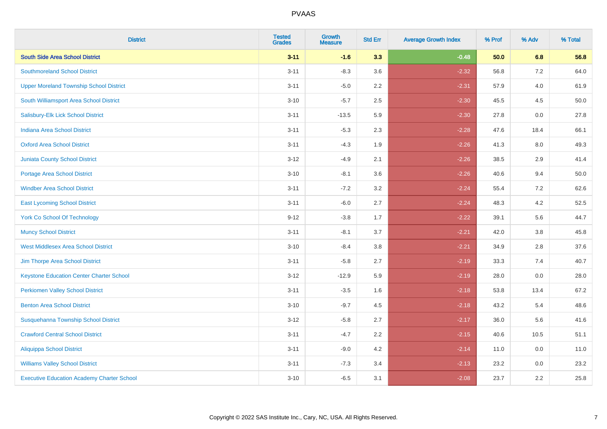| <b>District</b>                                   | <b>Tested</b><br><b>Grades</b> | <b>Growth</b><br><b>Measure</b> | <b>Std Err</b> | <b>Average Growth Index</b> | % Prof | % Adv | % Total |
|---------------------------------------------------|--------------------------------|---------------------------------|----------------|-----------------------------|--------|-------|---------|
| <b>South Side Area School District</b>            | $3 - 11$                       | $-1.6$                          | 3.3            | $-0.48$                     | 50.0   | 6.8   | 56.8    |
| <b>Southmoreland School District</b>              | $3 - 11$                       | $-8.3$                          | 3.6            | $-2.32$                     | 56.8   | 7.2   | 64.0    |
| <b>Upper Moreland Township School District</b>    | $3 - 11$                       | $-5.0$                          | 2.2            | $-2.31$                     | 57.9   | 4.0   | 61.9    |
| South Williamsport Area School District           | $3 - 10$                       | $-5.7$                          | 2.5            | $-2.30$                     | 45.5   | 4.5   | 50.0    |
| Salisbury-Elk Lick School District                | $3 - 11$                       | $-13.5$                         | 5.9            | $-2.30$                     | 27.8   | 0.0   | 27.8    |
| Indiana Area School District                      | $3 - 11$                       | $-5.3$                          | 2.3            | $-2.28$                     | 47.6   | 18.4  | 66.1    |
| <b>Oxford Area School District</b>                | $3 - 11$                       | $-4.3$                          | 1.9            | $-2.26$                     | 41.3   | 8.0   | 49.3    |
| <b>Juniata County School District</b>             | $3 - 12$                       | $-4.9$                          | 2.1            | $-2.26$                     | 38.5   | 2.9   | 41.4    |
| <b>Portage Area School District</b>               | $3 - 10$                       | $-8.1$                          | 3.6            | $-2.26$                     | 40.6   | 9.4   | 50.0    |
| <b>Windber Area School District</b>               | $3 - 11$                       | $-7.2$                          | 3.2            | $-2.24$                     | 55.4   | 7.2   | 62.6    |
| <b>East Lycoming School District</b>              | $3 - 11$                       | $-6.0$                          | 2.7            | $-2.24$                     | 48.3   | 4.2   | 52.5    |
| <b>York Co School Of Technology</b>               | $9 - 12$                       | $-3.8$                          | 1.7            | $-2.22$                     | 39.1   | 5.6   | 44.7    |
| <b>Muncy School District</b>                      | $3 - 11$                       | $-8.1$                          | 3.7            | $-2.21$                     | 42.0   | 3.8   | 45.8    |
| <b>West Middlesex Area School District</b>        | $3 - 10$                       | $-8.4$                          | 3.8            | $-2.21$                     | 34.9   | 2.8   | 37.6    |
| Jim Thorpe Area School District                   | $3 - 11$                       | $-5.8$                          | 2.7            | $-2.19$                     | 33.3   | 7.4   | 40.7    |
| <b>Keystone Education Center Charter School</b>   | $3 - 12$                       | $-12.9$                         | 5.9            | $-2.19$                     | 28.0   | 0.0   | 28.0    |
| <b>Perkiomen Valley School District</b>           | $3 - 11$                       | $-3.5$                          | 1.6            | $-2.18$                     | 53.8   | 13.4  | 67.2    |
| <b>Benton Area School District</b>                | $3 - 10$                       | $-9.7$                          | 4.5            | $-2.18$                     | 43.2   | 5.4   | 48.6    |
| Susquehanna Township School District              | $3 - 12$                       | $-5.8$                          | 2.7            | $-2.17$                     | 36.0   | 5.6   | 41.6    |
| <b>Crawford Central School District</b>           | $3 - 11$                       | $-4.7$                          | 2.2            | $-2.15$                     | 40.6   | 10.5  | 51.1    |
| <b>Aliquippa School District</b>                  | $3 - 11$                       | $-9.0$                          | 4.2            | $-2.14$                     | 11.0   | 0.0   | 11.0    |
| <b>Williams Valley School District</b>            | $3 - 11$                       | $-7.3$                          | 3.4            | $-2.13$                     | 23.2   | 0.0   | 23.2    |
| <b>Executive Education Academy Charter School</b> | $3 - 10$                       | $-6.5$                          | 3.1            | $-2.08$                     | 23.7   | 2.2   | 25.8    |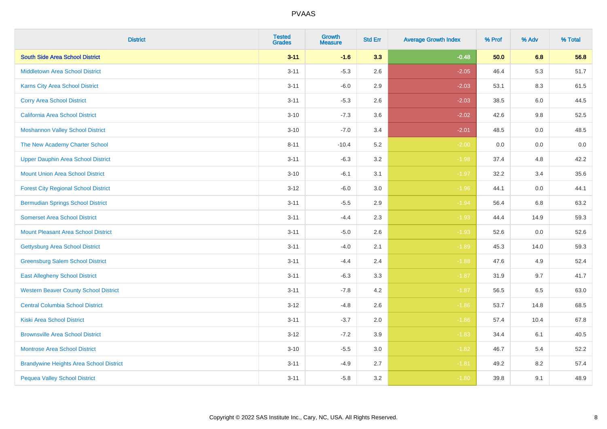| <b>District</b>                                | <b>Tested</b><br><b>Grades</b> | <b>Growth</b><br><b>Measure</b> | <b>Std Err</b> | <b>Average Growth Index</b> | % Prof | % Adv | % Total |
|------------------------------------------------|--------------------------------|---------------------------------|----------------|-----------------------------|--------|-------|---------|
| <b>South Side Area School District</b>         | $3 - 11$                       | $-1.6$                          | 3.3            | $-0.48$                     | 50.0   | 6.8   | 56.8    |
| <b>Middletown Area School District</b>         | $3 - 11$                       | $-5.3$                          | 2.6            | $-2.05$                     | 46.4   | 5.3   | 51.7    |
| <b>Karns City Area School District</b>         | $3 - 11$                       | $-6.0$                          | 2.9            | $-2.03$                     | 53.1   | 8.3   | 61.5    |
| <b>Corry Area School District</b>              | $3 - 11$                       | $-5.3$                          | 2.6            | $-2.03$                     | 38.5   | 6.0   | 44.5    |
| <b>California Area School District</b>         | $3 - 10$                       | $-7.3$                          | 3.6            | $-2.02$                     | 42.6   | 9.8   | 52.5    |
| <b>Moshannon Valley School District</b>        | $3 - 10$                       | $-7.0$                          | 3.4            | $-2.01$                     | 48.5   | 0.0   | 48.5    |
| The New Academy Charter School                 | $8 - 11$                       | $-10.4$                         | 5.2            | $-2.00$                     | 0.0    | 0.0   | 0.0     |
| <b>Upper Dauphin Area School District</b>      | $3 - 11$                       | $-6.3$                          | 3.2            | $-1.98$                     | 37.4   | 4.8   | 42.2    |
| <b>Mount Union Area School District</b>        | $3 - 10$                       | $-6.1$                          | 3.1            | $-1.97$                     | 32.2   | 3.4   | 35.6    |
| <b>Forest City Regional School District</b>    | $3 - 12$                       | $-6.0$                          | 3.0            | $-1.96$                     | 44.1   | 0.0   | 44.1    |
| <b>Bermudian Springs School District</b>       | $3 - 11$                       | $-5.5$                          | 2.9            | $-1.94$                     | 56.4   | 6.8   | 63.2    |
| <b>Somerset Area School District</b>           | $3 - 11$                       | $-4.4$                          | 2.3            | $-1.93$                     | 44.4   | 14.9  | 59.3    |
| <b>Mount Pleasant Area School District</b>     | $3 - 11$                       | $-5.0$                          | 2.6            | $-1.93$                     | 52.6   | 0.0   | 52.6    |
| Gettysburg Area School District                | $3 - 11$                       | $-4.0$                          | 2.1            | $-1.89$                     | 45.3   | 14.0  | 59.3    |
| <b>Greensburg Salem School District</b>        | $3 - 11$                       | $-4.4$                          | 2.4            | $-1.88$                     | 47.6   | 4.9   | 52.4    |
| <b>East Allegheny School District</b>          | $3 - 11$                       | $-6.3$                          | 3.3            | $-1.87$                     | 31.9   | 9.7   | 41.7    |
| <b>Western Beaver County School District</b>   | $3 - 11$                       | $-7.8$                          | 4.2            | $-1.87$                     | 56.5   | 6.5   | 63.0    |
| <b>Central Columbia School District</b>        | $3 - 12$                       | $-4.8$                          | 2.6            | $-1.86$                     | 53.7   | 14.8  | 68.5    |
| <b>Kiski Area School District</b>              | $3 - 11$                       | $-3.7$                          | 2.0            | $-1.86$                     | 57.4   | 10.4  | 67.8    |
| <b>Brownsville Area School District</b>        | $3 - 12$                       | $-7.2$                          | 3.9            | $-1.83$                     | 34.4   | 6.1   | 40.5    |
| <b>Montrose Area School District</b>           | $3 - 10$                       | $-5.5$                          | 3.0            | $-1.82$                     | 46.7   | 5.4   | 52.2    |
| <b>Brandywine Heights Area School District</b> | $3 - 11$                       | $-4.9$                          | 2.7            | $-1.81$                     | 49.2   | 8.2   | 57.4    |
| <b>Pequea Valley School District</b>           | $3 - 11$                       | $-5.8$                          | 3.2            | $-1.80$                     | 39.8   | 9.1   | 48.9    |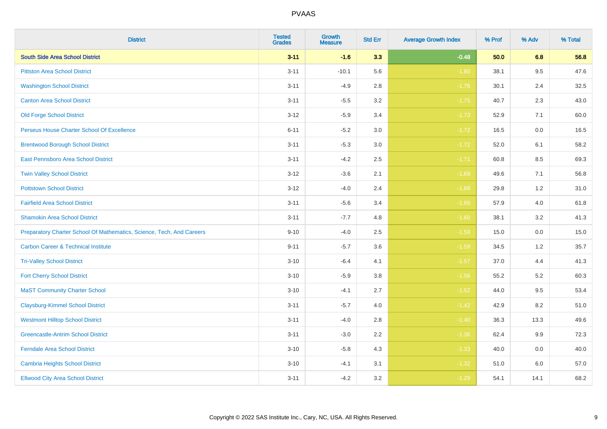| <b>District</b>                                                       | <b>Tested</b><br><b>Grades</b> | Growth<br><b>Measure</b> | <b>Std Err</b> | <b>Average Growth Index</b> | % Prof | % Adv | % Total |
|-----------------------------------------------------------------------|--------------------------------|--------------------------|----------------|-----------------------------|--------|-------|---------|
| <b>South Side Area School District</b>                                | $3 - 11$                       | $-1.6$                   | 3.3            | $-0.48$                     | 50.0   | 6.8   | 56.8    |
| <b>Pittston Area School District</b>                                  | $3 - 11$                       | $-10.1$                  | 5.6            | $-1.80$                     | 38.1   | 9.5   | 47.6    |
| <b>Washington School District</b>                                     | $3 - 11$                       | $-4.9$                   | 2.8            | $-1.76$                     | 30.1   | 2.4   | 32.5    |
| <b>Canton Area School District</b>                                    | $3 - 11$                       | $-5.5$                   | $3.2\,$        | $-1.75$                     | 40.7   | 2.3   | 43.0    |
| <b>Old Forge School District</b>                                      | $3 - 12$                       | $-5.9$                   | 3.4            | $-1.73$                     | 52.9   | 7.1   | 60.0    |
| Perseus House Charter School Of Excellence                            | $6 - 11$                       | $-5.2$                   | 3.0            | $-1.72$                     | 16.5   | 0.0   | 16.5    |
| <b>Brentwood Borough School District</b>                              | $3 - 11$                       | $-5.3$                   | $3.0\,$        | $-1.72$                     | 52.0   | 6.1   | 58.2    |
| East Pennsboro Area School District                                   | $3 - 11$                       | $-4.2$                   | 2.5            | $-1.71$                     | 60.8   | 8.5   | 69.3    |
| <b>Twin Valley School District</b>                                    | $3 - 12$                       | $-3.6$                   | 2.1            | $-1.69$                     | 49.6   | 7.1   | 56.8    |
| <b>Pottstown School District</b>                                      | $3 - 12$                       | $-4.0$                   | 2.4            | $-1.68$                     | 29.8   | 1.2   | 31.0    |
| <b>Fairfield Area School District</b>                                 | $3 - 11$                       | $-5.6$                   | 3.4            | $-1.66$                     | 57.9   | 4.0   | 61.8    |
| <b>Shamokin Area School District</b>                                  | $3 - 11$                       | $-7.7$                   | 4.8            | $-1.60$                     | 38.1   | 3.2   | 41.3    |
| Preparatory Charter School Of Mathematics, Science, Tech, And Careers | $9 - 10$                       | $-4.0$                   | 2.5            | $-1.59$                     | 15.0   | 0.0   | 15.0    |
| <b>Carbon Career &amp; Technical Institute</b>                        | $9 - 11$                       | $-5.7$                   | 3.6            | $-1.59$                     | 34.5   | 1.2   | 35.7    |
| <b>Tri-Valley School District</b>                                     | $3 - 10$                       | $-6.4$                   | 4.1            | $-1.57$                     | 37.0   | 4.4   | 41.3    |
| <b>Fort Cherry School District</b>                                    | $3 - 10$                       | $-5.9$                   | 3.8            | $-1.56$                     | 55.2   | 5.2   | 60.3    |
| <b>MaST Community Charter School</b>                                  | $3 - 10$                       | $-4.1$                   | 2.7            | $-1.52$                     | 44.0   | 9.5   | 53.4    |
| <b>Claysburg-Kimmel School District</b>                               | $3 - 11$                       | $-5.7$                   | 4.0            | $-1.42$                     | 42.9   | 8.2   | 51.0    |
| <b>Westmont Hilltop School District</b>                               | $3 - 11$                       | $-4.0$                   | 2.8            | $-1.40$                     | 36.3   | 13.3  | 49.6    |
| <b>Greencastle-Antrim School District</b>                             | $3 - 11$                       | $-3.0$                   | 2.2            | $-1.36$                     | 62.4   | 9.9   | 72.3    |
| <b>Ferndale Area School District</b>                                  | $3 - 10$                       | $-5.8$                   | 4.3            | $-1.33$                     | 40.0   | 0.0   | 40.0    |
| <b>Cambria Heights School District</b>                                | $3 - 10$                       | $-4.1$                   | 3.1            | $-1.32$                     | 51.0   | 6.0   | 57.0    |
| <b>Ellwood City Area School District</b>                              | $3 - 11$                       | $-4.2$                   | 3.2            | $-1.29$                     | 54.1   | 14.1  | 68.2    |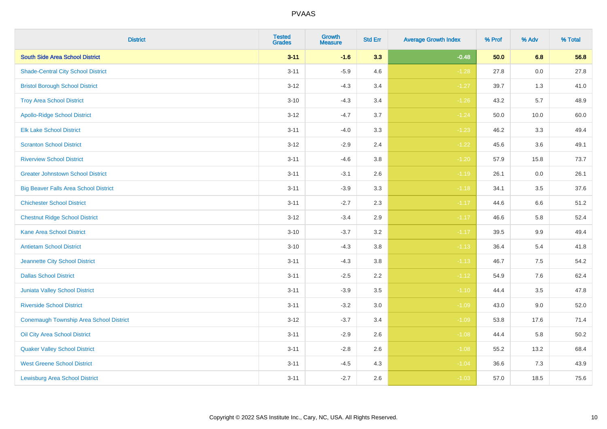| <b>District</b>                              | <b>Tested</b><br><b>Grades</b> | <b>Growth</b><br><b>Measure</b> | <b>Std Err</b> | <b>Average Growth Index</b> | % Prof | % Adv   | % Total |
|----------------------------------------------|--------------------------------|---------------------------------|----------------|-----------------------------|--------|---------|---------|
| <b>South Side Area School District</b>       | $3 - 11$                       | $-1.6$                          | 3.3            | $-0.48$                     | 50.0   | 6.8     | 56.8    |
| <b>Shade-Central City School District</b>    | $3 - 11$                       | $-5.9$                          | 4.6            | $-1.28$                     | 27.8   | 0.0     | 27.8    |
| <b>Bristol Borough School District</b>       | $3 - 12$                       | $-4.3$                          | 3.4            | $-1.27$                     | 39.7   | 1.3     | 41.0    |
| <b>Troy Area School District</b>             | $3 - 10$                       | $-4.3$                          | 3.4            | $-1.26$                     | 43.2   | 5.7     | 48.9    |
| <b>Apollo-Ridge School District</b>          | $3 - 12$                       | $-4.7$                          | 3.7            | $-1.24$                     | 50.0   | 10.0    | 60.0    |
| <b>Elk Lake School District</b>              | $3 - 11$                       | $-4.0$                          | 3.3            | $-1.23$                     | 46.2   | 3.3     | 49.4    |
| <b>Scranton School District</b>              | $3 - 12$                       | $-2.9$                          | 2.4            | $-1.22$                     | 45.6   | 3.6     | 49.1    |
| <b>Riverview School District</b>             | $3 - 11$                       | $-4.6$                          | 3.8            | $-1.20$                     | 57.9   | 15.8    | 73.7    |
| <b>Greater Johnstown School District</b>     | $3 - 11$                       | $-3.1$                          | 2.6            | $-1.19$                     | 26.1   | 0.0     | 26.1    |
| <b>Big Beaver Falls Area School District</b> | $3 - 11$                       | $-3.9$                          | 3.3            | $-1.18$                     | 34.1   | 3.5     | 37.6    |
| <b>Chichester School District</b>            | $3 - 11$                       | $-2.7$                          | 2.3            | $-1.17$                     | 44.6   | 6.6     | 51.2    |
| <b>Chestnut Ridge School District</b>        | $3 - 12$                       | $-3.4$                          | 2.9            | $-1.17$                     | 46.6   | 5.8     | 52.4    |
| Kane Area School District                    | $3 - 10$                       | $-3.7$                          | $3.2\,$        | $-1.17$                     | 39.5   | $9.9\,$ | 49.4    |
| <b>Antietam School District</b>              | $3 - 10$                       | $-4.3$                          | 3.8            | $-1.13$                     | 36.4   | 5.4     | 41.8    |
| Jeannette City School District               | $3 - 11$                       | $-4.3$                          | 3.8            | $-1.13$                     | 46.7   | 7.5     | 54.2    |
| <b>Dallas School District</b>                | $3 - 11$                       | $-2.5$                          | 2.2            | $-1.12$                     | 54.9   | 7.6     | 62.4    |
| Juniata Valley School District               | $3 - 11$                       | $-3.9$                          | 3.5            | $-1.10$                     | 44.4   | 3.5     | 47.8    |
| <b>Riverside School District</b>             | $3 - 11$                       | $-3.2$                          | 3.0            | $-1.09$                     | 43.0   | 9.0     | 52.0    |
| Conemaugh Township Area School District      | $3 - 12$                       | $-3.7$                          | 3.4            | $-1.09$                     | 53.8   | 17.6    | 71.4    |
| Oil City Area School District                | $3 - 11$                       | $-2.9$                          | 2.6            | $-1.08$                     | 44.4   | 5.8     | 50.2    |
| <b>Quaker Valley School District</b>         | $3 - 11$                       | $-2.8$                          | 2.6            | $-1.08$                     | 55.2   | 13.2    | 68.4    |
| <b>West Greene School District</b>           | $3 - 11$                       | $-4.5$                          | 4.3            | $-1.04$                     | 36.6   | 7.3     | 43.9    |
| <b>Lewisburg Area School District</b>        | $3 - 11$                       | $-2.7$                          | 2.6            | $-1.03$                     | 57.0   | 18.5    | 75.6    |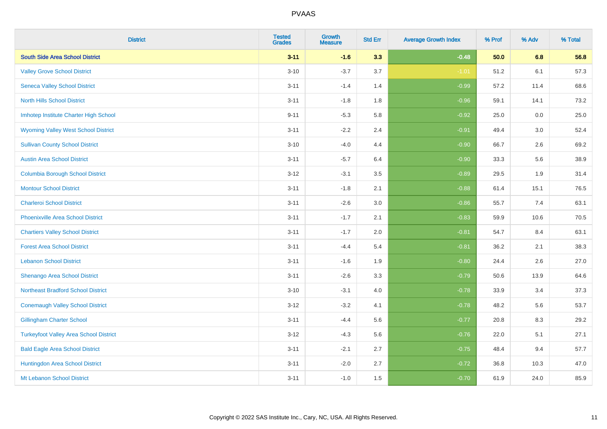| <b>District</b>                               | <b>Tested</b><br><b>Grades</b> | <b>Growth</b><br><b>Measure</b> | <b>Std Err</b> | <b>Average Growth Index</b> | % Prof | % Adv | % Total |
|-----------------------------------------------|--------------------------------|---------------------------------|----------------|-----------------------------|--------|-------|---------|
| <b>South Side Area School District</b>        | $3 - 11$                       | $-1.6$                          | 3.3            | $-0.48$                     | 50.0   | 6.8   | 56.8    |
| <b>Valley Grove School District</b>           | $3 - 10$                       | $-3.7$                          | 3.7            | $-1.01$                     | 51.2   | 6.1   | 57.3    |
| <b>Seneca Valley School District</b>          | $3 - 11$                       | $-1.4$                          | 1.4            | $-0.99$                     | 57.2   | 11.4  | 68.6    |
| <b>North Hills School District</b>            | $3 - 11$                       | $-1.8$                          | 1.8            | $-0.96$                     | 59.1   | 14.1  | 73.2    |
| Imhotep Institute Charter High School         | $9 - 11$                       | $-5.3$                          | 5.8            | $-0.92$                     | 25.0   | 0.0   | 25.0    |
| <b>Wyoming Valley West School District</b>    | $3 - 11$                       | $-2.2$                          | 2.4            | $-0.91$                     | 49.4   | 3.0   | 52.4    |
| <b>Sullivan County School District</b>        | $3 - 10$                       | $-4.0$                          | 4.4            | $-0.90$                     | 66.7   | 2.6   | 69.2    |
| <b>Austin Area School District</b>            | $3 - 11$                       | $-5.7$                          | 6.4            | $-0.90$                     | 33.3   | 5.6   | 38.9    |
| <b>Columbia Borough School District</b>       | $3 - 12$                       | $-3.1$                          | 3.5            | $-0.89$                     | 29.5   | 1.9   | 31.4    |
| <b>Montour School District</b>                | $3 - 11$                       | $-1.8$                          | 2.1            | $-0.88$                     | 61.4   | 15.1  | 76.5    |
| <b>Charleroi School District</b>              | $3 - 11$                       | $-2.6$                          | 3.0            | $-0.86$                     | 55.7   | 7.4   | 63.1    |
| <b>Phoenixville Area School District</b>      | $3 - 11$                       | $-1.7$                          | 2.1            | $-0.83$                     | 59.9   | 10.6  | 70.5    |
| <b>Chartiers Valley School District</b>       | $3 - 11$                       | $-1.7$                          | 2.0            | $-0.81$                     | 54.7   | 8.4   | 63.1    |
| <b>Forest Area School District</b>            | $3 - 11$                       | $-4.4$                          | 5.4            | $-0.81$                     | 36.2   | 2.1   | 38.3    |
| <b>Lebanon School District</b>                | $3 - 11$                       | $-1.6$                          | 1.9            | $-0.80$                     | 24.4   | 2.6   | 27.0    |
| Shenango Area School District                 | $3 - 11$                       | $-2.6$                          | 3.3            | $-0.79$                     | 50.6   | 13.9  | 64.6    |
| <b>Northeast Bradford School District</b>     | $3 - 10$                       | $-3.1$                          | 4.0            | $-0.78$                     | 33.9   | 3.4   | 37.3    |
| <b>Conemaugh Valley School District</b>       | $3 - 12$                       | $-3.2$                          | 4.1            | $-0.78$                     | 48.2   | 5.6   | 53.7    |
| <b>Gillingham Charter School</b>              | $3 - 11$                       | $-4.4$                          | 5.6            | $-0.77$                     | 20.8   | 8.3   | 29.2    |
| <b>Turkeyfoot Valley Area School District</b> | $3 - 12$                       | $-4.3$                          | 5.6            | $-0.76$                     | 22.0   | 5.1   | 27.1    |
| <b>Bald Eagle Area School District</b>        | $3 - 11$                       | $-2.1$                          | 2.7            | $-0.75$                     | 48.4   | 9.4   | 57.7    |
| Huntingdon Area School District               | $3 - 11$                       | $-2.0$                          | 2.7            | $-0.72$                     | 36.8   | 10.3  | 47.0    |
| Mt Lebanon School District                    | $3 - 11$                       | $-1.0$                          | 1.5            | $-0.70$                     | 61.9   | 24.0  | 85.9    |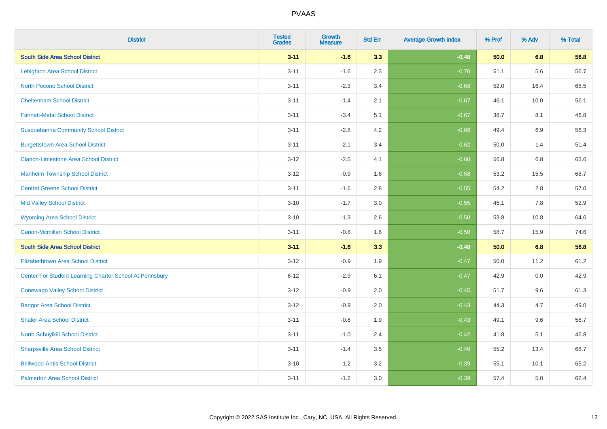| <b>District</b>                                         | <b>Tested</b><br><b>Grades</b> | <b>Growth</b><br><b>Measure</b> | <b>Std Err</b> | <b>Average Growth Index</b> | % Prof | % Adv | % Total |
|---------------------------------------------------------|--------------------------------|---------------------------------|----------------|-----------------------------|--------|-------|---------|
| <b>South Side Area School District</b>                  | $3 - 11$                       | $-1.6$                          | 3.3            | $-0.48$                     | 50.0   | 6.8   | 56.8    |
| <b>Lehighton Area School District</b>                   | $3 - 11$                       | $-1.6$                          | 2.3            | $-0.70$                     | 51.1   | 5.6   | 56.7    |
| <b>North Pocono School District</b>                     | $3 - 11$                       | $-2.3$                          | 3.4            | $-0.68$                     | 52.0   | 16.4  | 68.5    |
| <b>Cheltenham School District</b>                       | $3 - 11$                       | $-1.4$                          | 2.1            | $-0.67$                     | 46.1   | 10.0  | 56.1    |
| <b>Fannett-Metal School District</b>                    | $3 - 11$                       | $-3.4$                          | 5.1            | $-0.67$                     | 38.7   | 8.1   | 46.8    |
| <b>Susquehanna Community School District</b>            | $3 - 11$                       | $-2.8$                          | 4.2            | $-0.66$                     | 49.4   | 6.9   | 56.3    |
| <b>Burgettstown Area School District</b>                | $3 - 11$                       | $-2.1$                          | 3.4            | $-0.62$                     | 50.0   | 1.4   | 51.4    |
| <b>Clarion-Limestone Area School District</b>           | $3 - 12$                       | $-2.5$                          | 4.1            | $-0.60$                     | 56.8   | 6.8   | 63.6    |
| <b>Manheim Township School District</b>                 | $3 - 12$                       | $-0.9$                          | 1.6            | $-0.58$                     | 53.2   | 15.5  | 68.7    |
| <b>Central Greene School District</b>                   | $3 - 11$                       | $-1.6$                          | 2.8            | $-0.55$                     | 54.2   | 2.8   | 57.0    |
| <b>Mid Valley School District</b>                       | $3 - 10$                       | $-1.7$                          | 3.0            | $-0.55$                     | 45.1   | 7.8   | 52.9    |
| <b>Wyoming Area School District</b>                     | $3 - 10$                       | $-1.3$                          | 2.6            | $-0.50$                     | 53.8   | 10.8  | 64.6    |
| <b>Canon-Mcmillan School District</b>                   | $3 - 11$                       | $-0.8$                          | 1.6            | $-0.50$                     | 58.7   | 15.9  | 74.6    |
| <b>South Side Area School District</b>                  | $3 - 11$                       | $-1.6$                          | 3.3            | $-0.48$                     | 50.0   | 6.8   | 56.8    |
| <b>Elizabethtown Area School District</b>               | $3-12$                         | $-0.9$                          | 1.9            | $-0.47$                     | 50.0   | 11.2  | 61.2    |
| Center For Student Learning Charter School At Pennsbury | $6 - 12$                       | $-2.9$                          | 6.1            | $-0.47$                     | 42.9   | 0.0   | 42.9    |
| <b>Conewago Valley School District</b>                  | $3 - 12$                       | $-0.9$                          | 2.0            | $-0.45$                     | 51.7   | 9.6   | 61.3    |
| <b>Bangor Area School District</b>                      | $3-12$                         | $-0.9$                          | 2.0            | $-0.43$                     | 44.3   | 4.7   | 49.0    |
| <b>Shaler Area School District</b>                      | $3 - 11$                       | $-0.8$                          | 1.9            | $-0.43$                     | 49.1   | 9.6   | 58.7    |
| North Schuylkill School District                        | $3 - 11$                       | $-1.0$                          | 2.4            | $-0.42$                     | 41.8   | 5.1   | 46.8    |
| <b>Sharpsville Area School District</b>                 | $3 - 11$                       | $-1.4$                          | 3.5            | $-0.40$                     | 55.2   | 13.4  | 68.7    |
| <b>Bellwood-Antis School District</b>                   | $3 - 10$                       | $-1.2$                          | 3.2            | $-0.39$                     | 55.1   | 10.1  | 65.2    |
| <b>Palmerton Area School District</b>                   | $3 - 11$                       | $-1.2$                          | 3.0            | $-0.39$                     | 57.4   | 5.0   | 62.4    |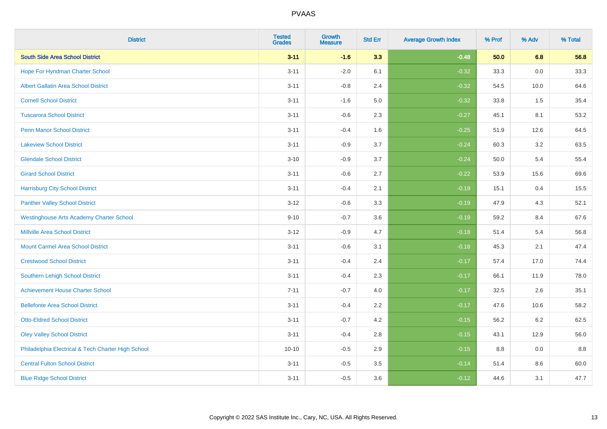| <b>District</b>                                    | <b>Tested</b><br><b>Grades</b> | <b>Growth</b><br><b>Measure</b> | <b>Std Err</b> | <b>Average Growth Index</b> | % Prof | % Adv   | % Total |
|----------------------------------------------------|--------------------------------|---------------------------------|----------------|-----------------------------|--------|---------|---------|
| <b>South Side Area School District</b>             | $3 - 11$                       | $-1.6$                          | 3.3            | $-0.48$                     | 50.0   | 6.8     | 56.8    |
| Hope For Hyndman Charter School                    | $3 - 11$                       | $-2.0$                          | 6.1            | $-0.32$                     | 33.3   | 0.0     | 33.3    |
| <b>Albert Gallatin Area School District</b>        | $3 - 11$                       | $-0.8$                          | 2.4            | $-0.32$                     | 54.5   | 10.0    | 64.6    |
| <b>Cornell School District</b>                     | $3 - 11$                       | $-1.6$                          | 5.0            | $-0.32$                     | 33.8   | 1.5     | 35.4    |
| <b>Tuscarora School District</b>                   | $3 - 11$                       | $-0.6$                          | 2.3            | $-0.27$                     | 45.1   | 8.1     | 53.2    |
| <b>Penn Manor School District</b>                  | $3 - 11$                       | $-0.4$                          | 1.6            | $-0.25$                     | 51.9   | 12.6    | 64.5    |
| <b>Lakeview School District</b>                    | $3 - 11$                       | $-0.9$                          | 3.7            | $-0.24$                     | 60.3   | 3.2     | 63.5    |
| <b>Glendale School District</b>                    | $3 - 10$                       | $-0.9$                          | 3.7            | $-0.24$                     | 50.0   | 5.4     | 55.4    |
| <b>Girard School District</b>                      | $3 - 11$                       | $-0.6$                          | 2.7            | $-0.22$                     | 53.9   | 15.6    | 69.6    |
| <b>Harrisburg City School District</b>             | $3 - 11$                       | $-0.4$                          | 2.1            | $-0.19$                     | 15.1   | 0.4     | 15.5    |
| <b>Panther Valley School District</b>              | $3 - 12$                       | $-0.6$                          | 3.3            | $-0.19$                     | 47.9   | 4.3     | 52.1    |
| <b>Westinghouse Arts Academy Charter School</b>    | $9 - 10$                       | $-0.7$                          | 3.6            | $-0.19$                     | 59.2   | 8.4     | 67.6    |
| <b>Millville Area School District</b>              | $3 - 12$                       | $-0.9$                          | 4.7            | $-0.18$                     | 51.4   | 5.4     | 56.8    |
| <b>Mount Carmel Area School District</b>           | $3 - 11$                       | $-0.6$                          | 3.1            | $-0.18$                     | 45.3   | 2.1     | 47.4    |
| <b>Crestwood School District</b>                   | $3 - 11$                       | $-0.4$                          | 2.4            | $-0.17$                     | 57.4   | 17.0    | 74.4    |
| Southern Lehigh School District                    | $3 - 11$                       | $-0.4$                          | 2.3            | $-0.17$                     | 66.1   | 11.9    | 78.0    |
| <b>Achievement House Charter School</b>            | $7 - 11$                       | $-0.7$                          | 4.0            | $-0.17$                     | 32.5   | $2.6\,$ | 35.1    |
| <b>Bellefonte Area School District</b>             | $3 - 11$                       | $-0.4$                          | 2.2            | $-0.17$                     | 47.6   | 10.6    | 58.2    |
| <b>Otto-Eldred School District</b>                 | $3 - 11$                       | $-0.7$                          | 4.2            | $-0.15$                     | 56.2   | $6.2\,$ | 62.5    |
| <b>Oley Valley School District</b>                 | $3 - 11$                       | $-0.4$                          | 2.8            | $-0.15$                     | 43.1   | 12.9    | 56.0    |
| Philadelphia Electrical & Tech Charter High School | $10 - 10$                      | $-0.5$                          | 2.9            | $-0.15$                     | 8.8    | 0.0     | 8.8     |
| <b>Central Fulton School District</b>              | $3 - 11$                       | $-0.5$                          | 3.5            | $-0.14$                     | 51.4   | 8.6     | 60.0    |
| <b>Blue Ridge School District</b>                  | $3 - 11$                       | $-0.5$                          | 3.6            | $-0.12$                     | 44.6   | 3.1     | 47.7    |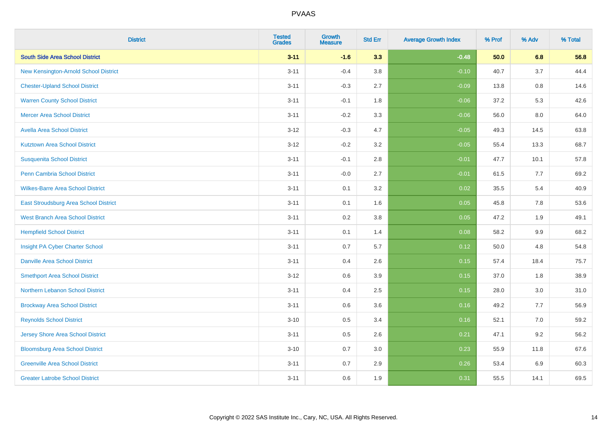| <b>District</b>                          | <b>Tested</b><br><b>Grades</b> | <b>Growth</b><br><b>Measure</b> | <b>Std Err</b> | <b>Average Growth Index</b> | % Prof | % Adv | % Total |
|------------------------------------------|--------------------------------|---------------------------------|----------------|-----------------------------|--------|-------|---------|
| <b>South Side Area School District</b>   | $3 - 11$                       | $-1.6$                          | 3.3            | $-0.48$                     | 50.0   | 6.8   | 56.8    |
| New Kensington-Arnold School District    | $3 - 11$                       | $-0.4$                          | 3.8            | $-0.10$                     | 40.7   | 3.7   | 44.4    |
| <b>Chester-Upland School District</b>    | $3 - 11$                       | $-0.3$                          | 2.7            | $-0.09$                     | 13.8   | 0.8   | 14.6    |
| <b>Warren County School District</b>     | $3 - 11$                       | $-0.1$                          | 1.8            | $-0.06$                     | 37.2   | 5.3   | 42.6    |
| <b>Mercer Area School District</b>       | $3 - 11$                       | $-0.2$                          | 3.3            | $-0.06$                     | 56.0   | 8.0   | 64.0    |
| <b>Avella Area School District</b>       | $3 - 12$                       | $-0.3$                          | 4.7            | $-0.05$                     | 49.3   | 14.5  | 63.8    |
| <b>Kutztown Area School District</b>     | $3 - 12$                       | $-0.2$                          | 3.2            | $-0.05$                     | 55.4   | 13.3  | 68.7    |
| <b>Susquenita School District</b>        | $3 - 11$                       | $-0.1$                          | 2.8            | $-0.01$                     | 47.7   | 10.1  | 57.8    |
| <b>Penn Cambria School District</b>      | $3 - 11$                       | $-0.0$                          | 2.7            | $-0.01$                     | 61.5   | 7.7   | 69.2    |
| <b>Wilkes-Barre Area School District</b> | $3 - 11$                       | 0.1                             | 3.2            | 0.02                        | 35.5   | 5.4   | 40.9    |
| East Stroudsburg Area School District    | $3 - 11$                       | 0.1                             | 1.6            | 0.05                        | 45.8   | 7.8   | 53.6    |
| <b>West Branch Area School District</b>  | $3 - 11$                       | 0.2                             | 3.8            | 0.05                        | 47.2   | 1.9   | 49.1    |
| <b>Hempfield School District</b>         | $3 - 11$                       | 0.1                             | 1.4            | 0.08                        | 58.2   | 9.9   | 68.2    |
| Insight PA Cyber Charter School          | $3 - 11$                       | 0.7                             | 5.7            | 0.12                        | 50.0   | 4.8   | 54.8    |
| <b>Danville Area School District</b>     | $3 - 11$                       | 0.4                             | 2.6            | 0.15                        | 57.4   | 18.4  | 75.7    |
| <b>Smethport Area School District</b>    | $3 - 12$                       | 0.6                             | 3.9            | 0.15                        | 37.0   | 1.8   | 38.9    |
| <b>Northern Lebanon School District</b>  | $3 - 11$                       | 0.4                             | 2.5            | 0.15                        | 28.0   | 3.0   | 31.0    |
| <b>Brockway Area School District</b>     | $3 - 11$                       | 0.6                             | 3.6            | 0.16                        | 49.2   | 7.7   | 56.9    |
| <b>Reynolds School District</b>          | $3 - 10$                       | 0.5                             | 3.4            | 0.16                        | 52.1   | 7.0   | 59.2    |
| <b>Jersey Shore Area School District</b> | $3 - 11$                       | 0.5                             | 2.6            | 0.21                        | 47.1   | 9.2   | 56.2    |
| <b>Bloomsburg Area School District</b>   | $3 - 10$                       | 0.7                             | 3.0            | 0.23                        | 55.9   | 11.8  | 67.6    |
| <b>Greenville Area School District</b>   | $3 - 11$                       | 0.7                             | 2.9            | 0.26                        | 53.4   | 6.9   | 60.3    |
| <b>Greater Latrobe School District</b>   | $3 - 11$                       | 0.6                             | 1.9            | 0.31                        | 55.5   | 14.1  | 69.5    |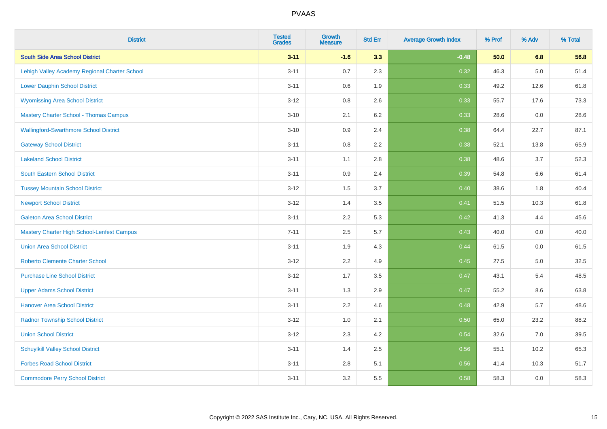| <b>District</b>                                   | <b>Tested</b><br><b>Grades</b> | <b>Growth</b><br><b>Measure</b> | <b>Std Err</b> | <b>Average Growth Index</b> | % Prof | % Adv   | % Total |
|---------------------------------------------------|--------------------------------|---------------------------------|----------------|-----------------------------|--------|---------|---------|
| <b>South Side Area School District</b>            | $3 - 11$                       | $-1.6$                          | 3.3            | $-0.48$                     | 50.0   | 6.8     | 56.8    |
| Lehigh Valley Academy Regional Charter School     | $3 - 11$                       | 0.7                             | 2.3            | 0.32                        | 46.3   | $5.0\,$ | 51.4    |
| <b>Lower Dauphin School District</b>              | $3 - 11$                       | 0.6                             | 1.9            | 0.33                        | 49.2   | 12.6    | 61.8    |
| <b>Wyomissing Area School District</b>            | $3 - 12$                       | 0.8                             | 2.6            | 0.33                        | 55.7   | 17.6    | 73.3    |
| <b>Mastery Charter School - Thomas Campus</b>     | $3 - 10$                       | 2.1                             | 6.2            | 0.33                        | 28.6   | 0.0     | 28.6    |
| <b>Wallingford-Swarthmore School District</b>     | $3 - 10$                       | 0.9                             | 2.4            | 0.38                        | 64.4   | 22.7    | 87.1    |
| <b>Gateway School District</b>                    | $3 - 11$                       | 0.8                             | 2.2            | 0.38                        | 52.1   | 13.8    | 65.9    |
| <b>Lakeland School District</b>                   | $3 - 11$                       | 1.1                             | 2.8            | 0.38                        | 48.6   | 3.7     | 52.3    |
| <b>South Eastern School District</b>              | $3 - 11$                       | 0.9                             | 2.4            | 0.39                        | 54.8   | 6.6     | 61.4    |
| <b>Tussey Mountain School District</b>            | $3 - 12$                       | 1.5                             | 3.7            | 0.40                        | 38.6   | 1.8     | 40.4    |
| <b>Newport School District</b>                    | $3 - 12$                       | 1.4                             | 3.5            | 0.41                        | 51.5   | 10.3    | 61.8    |
| <b>Galeton Area School District</b>               | $3 - 11$                       | 2.2                             | 5.3            | 0.42                        | 41.3   | 4.4     | 45.6    |
| <b>Mastery Charter High School-Lenfest Campus</b> | $7 - 11$                       | 2.5                             | 5.7            | 0.43                        | 40.0   | 0.0     | 40.0    |
| <b>Union Area School District</b>                 | $3 - 11$                       | 1.9                             | 4.3            | 0.44                        | 61.5   | 0.0     | 61.5    |
| <b>Roberto Clemente Charter School</b>            | $3 - 12$                       | 2.2                             | 4.9            | 0.45                        | 27.5   | $5.0\,$ | 32.5    |
| <b>Purchase Line School District</b>              | $3 - 12$                       | 1.7                             | 3.5            | 0.47                        | 43.1   | 5.4     | 48.5    |
| <b>Upper Adams School District</b>                | $3 - 11$                       | 1.3                             | 2.9            | 0.47                        | 55.2   | 8.6     | 63.8    |
| <b>Hanover Area School District</b>               | $3 - 11$                       | 2.2                             | 4.6            | 0.48                        | 42.9   | 5.7     | 48.6    |
| <b>Radnor Township School District</b>            | $3 - 12$                       | 1.0                             | 2.1            | 0.50                        | 65.0   | 23.2    | 88.2    |
| <b>Union School District</b>                      | $3 - 12$                       | 2.3                             | 4.2            | 0.54                        | 32.6   | 7.0     | 39.5    |
| <b>Schuylkill Valley School District</b>          | $3 - 11$                       | 1.4                             | 2.5            | 0.56                        | 55.1   | 10.2    | 65.3    |
| <b>Forbes Road School District</b>                | $3 - 11$                       | 2.8                             | 5.1            | 0.56                        | 41.4   | 10.3    | 51.7    |
| <b>Commodore Perry School District</b>            | $3 - 11$                       | 3.2                             | 5.5            | 0.58                        | 58.3   | 0.0     | 58.3    |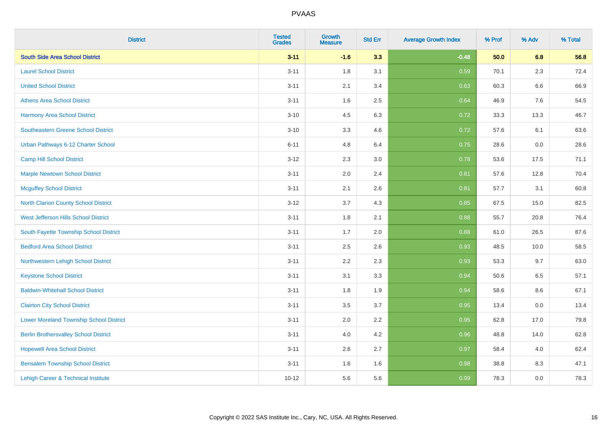| <b>District</b>                                | <b>Tested</b><br><b>Grades</b> | <b>Growth</b><br><b>Measure</b> | <b>Std Err</b> | <b>Average Growth Index</b> | % Prof | % Adv   | % Total |
|------------------------------------------------|--------------------------------|---------------------------------|----------------|-----------------------------|--------|---------|---------|
| <b>South Side Area School District</b>         | $3 - 11$                       | $-1.6$                          | 3.3            | $-0.48$                     | 50.0   | 6.8     | 56.8    |
| <b>Laurel School District</b>                  | $3 - 11$                       | 1.8                             | 3.1            | 0.59                        | 70.1   | $2.3\,$ | 72.4    |
| <b>United School District</b>                  | $3 - 11$                       | 2.1                             | 3.4            | 0.63                        | 60.3   | 6.6     | 66.9    |
| <b>Athens Area School District</b>             | $3 - 11$                       | 1.6                             | 2.5            | 0.64                        | 46.9   | 7.6     | 54.5    |
| <b>Harmony Area School District</b>            | $3 - 10$                       | 4.5                             | 6.3            | 0.72                        | 33.3   | 13.3    | 46.7    |
| Southeastern Greene School District            | $3 - 10$                       | 3.3                             | 4.6            | 0.72                        | 57.6   | 6.1     | 63.6    |
| Urban Pathways 6-12 Charter School             | $6 - 11$                       | 4.8                             | 6.4            | 0.75                        | 28.6   | 0.0     | 28.6    |
| <b>Camp Hill School District</b>               | $3 - 12$                       | 2.3                             | 3.0            | 0.78                        | 53.6   | 17.5    | 71.1    |
| <b>Marple Newtown School District</b>          | $3 - 11$                       | 2.0                             | 2.4            | 0.81                        | 57.6   | 12.8    | 70.4    |
| <b>Mcguffey School District</b>                | $3 - 11$                       | 2.1                             | 2.6            | 0.81                        | 57.7   | 3.1     | 60.8    |
| North Clarion County School District           | $3 - 12$                       | 3.7                             | 4.3            | 0.85                        | 67.5   | 15.0    | 82.5    |
| West Jefferson Hills School District           | $3 - 11$                       | 1.8                             | 2.1            | 0.88                        | 55.7   | 20.8    | 76.4    |
| South Fayette Township School District         | $3 - 11$                       | 1.7                             | 2.0            | 0.88                        | 61.0   | 26.5    | 87.6    |
| <b>Bedford Area School District</b>            | $3 - 11$                       | 2.5                             | 2.6            | 0.93                        | 48.5   | 10.0    | 58.5    |
| Northwestern Lehigh School District            | $3 - 11$                       | 2.2                             | 2.3            | 0.93                        | 53.3   | 9.7     | 63.0    |
| <b>Keystone School District</b>                | $3 - 11$                       | 3.1                             | 3.3            | 0.94                        | 50.6   | 6.5     | 57.1    |
| <b>Baldwin-Whitehall School District</b>       | $3 - 11$                       | 1.8                             | 1.9            | 0.94                        | 58.6   | 8.6     | 67.1    |
| <b>Clairton City School District</b>           | $3 - 11$                       | 3.5                             | 3.7            | 0.95                        | 13.4   | 0.0     | 13.4    |
| <b>Lower Moreland Township School District</b> | $3 - 11$                       | 2.0                             | 2.2            | 0.95                        | 62.8   | 17.0    | 79.8    |
| <b>Berlin Brothersvalley School District</b>   | $3 - 11$                       | 4.0                             | 4.2            | 0.96                        | 48.8   | 14.0    | 62.8    |
| <b>Hopewell Area School District</b>           | $3 - 11$                       | 2.6                             | 2.7            | 0.97                        | 58.4   | 4.0     | 62.4    |
| <b>Bensalem Township School District</b>       | $3 - 11$                       | 1.6                             | 1.6            | 0.98                        | 38.8   | 8.3     | 47.1    |
| Lehigh Career & Technical Institute            | $10 - 12$                      | 5.6                             | 5.6            | 0.99                        | 78.3   | 0.0     | 78.3    |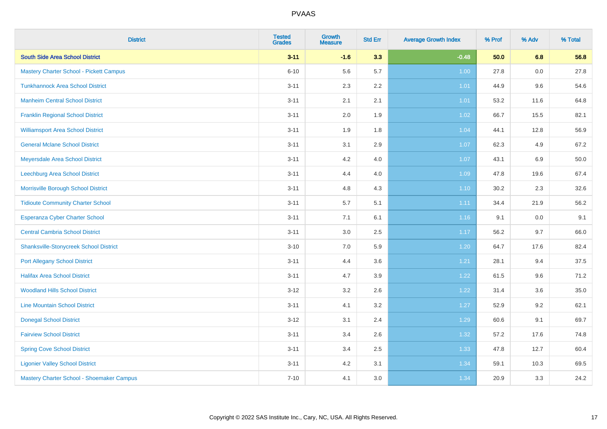| <b>District</b>                           | <b>Tested</b><br><b>Grades</b> | <b>Growth</b><br><b>Measure</b> | <b>Std Err</b> | <b>Average Growth Index</b> | % Prof | % Adv | % Total |
|-------------------------------------------|--------------------------------|---------------------------------|----------------|-----------------------------|--------|-------|---------|
| <b>South Side Area School District</b>    | $3 - 11$                       | $-1.6$                          | 3.3            | $-0.48$                     | 50.0   | 6.8   | 56.8    |
| Mastery Charter School - Pickett Campus   | $6 - 10$                       | 5.6                             | 5.7            | 1.00                        | 27.8   | 0.0   | 27.8    |
| <b>Tunkhannock Area School District</b>   | $3 - 11$                       | 2.3                             | 2.2            | 1.01                        | 44.9   | 9.6   | 54.6    |
| <b>Manheim Central School District</b>    | $3 - 11$                       | 2.1                             | 2.1            | 1.01                        | 53.2   | 11.6  | 64.8    |
| <b>Franklin Regional School District</b>  | $3 - 11$                       | 2.0                             | 1.9            | 1.02                        | 66.7   | 15.5  | 82.1    |
| <b>Williamsport Area School District</b>  | $3 - 11$                       | 1.9                             | 1.8            | 1.04                        | 44.1   | 12.8  | 56.9    |
| <b>General Mclane School District</b>     | $3 - 11$                       | 3.1                             | 2.9            | 1.07                        | 62.3   | 4.9   | 67.2    |
| Meyersdale Area School District           | $3 - 11$                       | 4.2                             | 4.0            | 1.07                        | 43.1   | 6.9   | 50.0    |
| Leechburg Area School District            | $3 - 11$                       | 4.4                             | 4.0            | 1.09                        | 47.8   | 19.6  | 67.4    |
| Morrisville Borough School District       | $3 - 11$                       | 4.8                             | 4.3            | $1.10$                      | 30.2   | 2.3   | 32.6    |
| <b>Tidioute Community Charter School</b>  | $3 - 11$                       | 5.7                             | 5.1            | 1.11                        | 34.4   | 21.9  | 56.2    |
| Esperanza Cyber Charter School            | $3 - 11$                       | 7.1                             | 6.1            | 1.16                        | 9.1    | 0.0   | 9.1     |
| <b>Central Cambria School District</b>    | $3 - 11$                       | $3.0\,$                         | 2.5            | 1.17                        | 56.2   | 9.7   | 66.0    |
| Shanksville-Stonycreek School District    | $3 - 10$                       | $7.0\,$                         | 5.9            | 1.20                        | 64.7   | 17.6  | 82.4    |
| <b>Port Allegany School District</b>      | $3 - 11$                       | 4.4                             | 3.6            | 1.21                        | 28.1   | 9.4   | 37.5    |
| <b>Halifax Area School District</b>       | $3 - 11$                       | 4.7                             | 3.9            | 1.22                        | 61.5   | 9.6   | 71.2    |
| <b>Woodland Hills School District</b>     | $3-12$                         | 3.2                             | 2.6            | 1.22                        | 31.4   | 3.6   | 35.0    |
| <b>Line Mountain School District</b>      | $3 - 11$                       | 4.1                             | 3.2            | $1.27$                      | 52.9   | 9.2   | 62.1    |
| <b>Donegal School District</b>            | $3 - 12$                       | 3.1                             | 2.4            | 1.29                        | 60.6   | 9.1   | 69.7    |
| <b>Fairview School District</b>           | $3 - 11$                       | 3.4                             | 2.6            | 1.32                        | 57.2   | 17.6  | 74.8    |
| <b>Spring Cove School District</b>        | $3 - 11$                       | 3.4                             | 2.5            | 1.33                        | 47.8   | 12.7  | 60.4    |
| <b>Ligonier Valley School District</b>    | $3 - 11$                       | 4.2                             | 3.1            | 1.34                        | 59.1   | 10.3  | 69.5    |
| Mastery Charter School - Shoemaker Campus | $7 - 10$                       | 4.1                             | 3.0            | 1.34                        | 20.9   | 3.3   | 24.2    |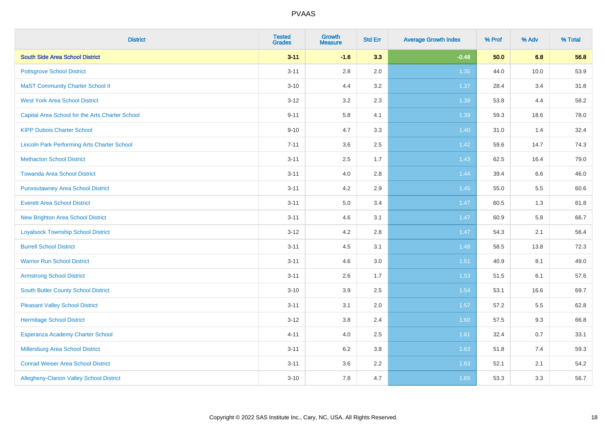| <b>District</b>                                    | <b>Tested</b><br><b>Grades</b> | <b>Growth</b><br><b>Measure</b> | <b>Std Err</b> | <b>Average Growth Index</b> | % Prof | % Adv | % Total |
|----------------------------------------------------|--------------------------------|---------------------------------|----------------|-----------------------------|--------|-------|---------|
| <b>South Side Area School District</b>             | $3 - 11$                       | $-1.6$                          | 3.3            | $-0.48$                     | 50.0   | 6.8   | 56.8    |
| <b>Pottsgrove School District</b>                  | $3 - 11$                       | $2.8\,$                         | 2.0            | 1.35                        | 44.0   | 10.0  | 53.9    |
| <b>MaST Community Charter School II</b>            | $3 - 10$                       | 4.4                             | 3.2            | 1.37                        | 28.4   | 3.4   | 31.8    |
| <b>West York Area School District</b>              | $3 - 12$                       | 3.2                             | 2.3            | 1.38                        | 53.8   | 4.4   | 58.2    |
| Capital Area School for the Arts Charter School    | $9 - 11$                       | 5.8                             | 4.1            | 1.39                        | 59.3   | 18.6  | 78.0    |
| <b>KIPP Dubois Charter School</b>                  | $9 - 10$                       | 4.7                             | 3.3            | 1.40                        | 31.0   | 1.4   | 32.4    |
| <b>Lincoln Park Performing Arts Charter School</b> | $7 - 11$                       | 3.6                             | 2.5            | 1.42                        | 59.6   | 14.7  | 74.3    |
| <b>Methacton School District</b>                   | $3 - 11$                       | 2.5                             | 1.7            | 1.43                        | 62.5   | 16.4  | 79.0    |
| <b>Towanda Area School District</b>                | $3 - 11$                       | 4.0                             | 2.8            | 1.44                        | 39.4   | 6.6   | 46.0    |
| <b>Punxsutawney Area School District</b>           | $3 - 11$                       | 4.2                             | 2.9            | $1.45$                      | 55.0   | 5.5   | 60.6    |
| <b>Everett Area School District</b>                | $3 - 11$                       | 5.0                             | 3.4            | 1.47                        | 60.5   | 1.3   | 61.8    |
| <b>New Brighton Area School District</b>           | $3 - 11$                       | 4.6                             | 3.1            | $1.47$                      | 60.9   | 5.8   | 66.7    |
| <b>Loyalsock Township School District</b>          | $3 - 12$                       | 4.2                             | 2.8            | 1.47                        | 54.3   | 2.1   | 56.4    |
| <b>Burrell School District</b>                     | $3 - 11$                       | 4.5                             | 3.1            | 1.48                        | 58.5   | 13.8  | 72.3    |
| <b>Warrior Run School District</b>                 | $3 - 11$                       | 4.6                             | 3.0            | 1.51                        | 40.9   | 8.1   | 49.0    |
| <b>Armstrong School District</b>                   | $3 - 11$                       | 2.6                             | 1.7            | 1.53                        | 51.5   | 6.1   | 57.6    |
| <b>South Butler County School District</b>         | $3 - 10$                       | 3.9                             | 2.5            | 1.54                        | 53.1   | 16.6  | 69.7    |
| <b>Pleasant Valley School District</b>             | $3 - 11$                       | 3.1                             | 2.0            | 1.57                        | 57.2   | 5.5   | 62.8    |
| <b>Hermitage School District</b>                   | $3 - 12$                       | $3.8\,$                         | 2.4            | 1.60                        | 57.5   | 9.3   | 66.8    |
| Esperanza Academy Charter School                   | $4 - 11$                       | 4.0                             | 2.5            | 1.61                        | 32.4   | 0.7   | 33.1    |
| Millersburg Area School District                   | $3 - 11$                       | 6.2                             | 3.8            | 1.63                        | 51.8   | 7.4   | 59.3    |
| <b>Conrad Weiser Area School District</b>          | $3 - 11$                       | 3.6                             | 2.2            | 1.63                        | 52.1   | 2.1   | 54.2    |
| Allegheny-Clarion Valley School District           | $3 - 10$                       | 7.8                             | 4.7            | 1.65                        | 53.3   | 3.3   | 56.7    |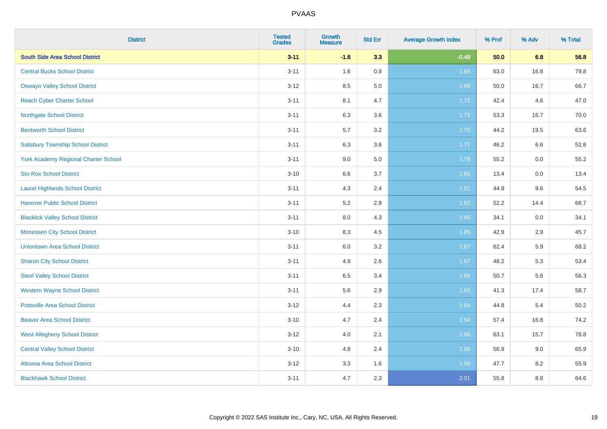| <b>District</b>                             | <b>Tested</b><br><b>Grades</b> | <b>Growth</b><br><b>Measure</b> | <b>Std Err</b> | <b>Average Growth Index</b> | % Prof | % Adv   | % Total |
|---------------------------------------------|--------------------------------|---------------------------------|----------------|-----------------------------|--------|---------|---------|
| <b>South Side Area School District</b>      | $3 - 11$                       | $-1.6$                          | 3.3            | $-0.48$                     | 50.0   | 6.8     | 56.8    |
| <b>Central Bucks School District</b>        | $3 - 11$                       | 1.6                             | 0.9            | 1.66                        | 63.0   | 16.8    | 79.8    |
| <b>Oswayo Valley School District</b>        | $3-12$                         | 8.5                             | 5.0            | 1.68                        | 50.0   | 16.7    | 66.7    |
| <b>Reach Cyber Charter School</b>           | $3 - 11$                       | 8.1                             | 4.7            | 1.72                        | 42.4   | 4.6     | 47.0    |
| <b>Northgate School District</b>            | $3 - 11$                       | 6.3                             | 3.6            | 1.73                        | 53.3   | 16.7    | 70.0    |
| <b>Bentworth School District</b>            | $3 - 11$                       | 5.7                             | 3.2            | 1.75                        | 44.2   | 19.5    | 63.6    |
| <b>Salisbury Township School District</b>   | $3 - 11$                       | 6.3                             | 3.6            | 1.77                        | 46.2   | 6.6     | 52.8    |
| <b>York Academy Regional Charter School</b> | $3 - 11$                       | 9.0                             | 5.0            | 1.79                        | 55.2   | 0.0     | 55.2    |
| <b>Sto-Rox School District</b>              | $3 - 10$                       | 6.6                             | 3.7            | 1.80                        | 13.4   | $0.0\,$ | 13.4    |
| <b>Laurel Highlands School District</b>     | $3 - 11$                       | 4.3                             | 2.4            | 1.81                        | 44.9   | 9.6     | 54.5    |
| <b>Hanover Public School District</b>       | $3 - 11$                       | 5.2                             | 2.8            | 1.83                        | 52.2   | 14.4    | 66.7    |
| <b>Blacklick Valley School District</b>     | $3 - 11$                       | 8.0                             | 4.3            | 1.85                        | 34.1   | 0.0     | 34.1    |
| <b>Monessen City School District</b>        | $3 - 10$                       | 8.3                             | 4.5            | 1.85                        | 42.9   | 2.9     | 45.7    |
| <b>Uniontown Area School District</b>       | $3 - 11$                       | 6.0                             | 3.2            | 1.87                        | 62.4   | 5.9     | 68.2    |
| <b>Sharon City School District</b>          | $3 - 11$                       | 4.9                             | 2.6            | 1.87                        | 48.2   | 5.3     | 53.4    |
| <b>Steel Valley School District</b>         | $3 - 11$                       | 6.5                             | 3.4            | 1.89                        | 50.7   | 5.6     | 56.3    |
| <b>Western Wayne School District</b>        | $3 - 11$                       | 5.6                             | 2.9            | 1.93                        | 41.3   | 17.4    | 58.7    |
| <b>Pottsville Area School District</b>      | $3-12$                         | 4.4                             | 2.3            | 1.94                        | 44.8   | 5.4     | 50.2    |
| <b>Beaver Area School District</b>          | $3 - 10$                       | 4.7                             | 2.4            | 1.94                        | 57.4   | 16.8    | 74.2    |
| <b>West Allegheny School District</b>       | $3-12$                         | 4.0                             | 2.1            | 1.96                        | 63.1   | 15.7    | 78.8    |
| <b>Central Valley School District</b>       | $3 - 10$                       | 4.8                             | 2.4            | 1.98                        | 56.9   | 9.0     | 65.9    |
| Altoona Area School District                | $3 - 12$                       | 3.3                             | 1.6            | 1.99                        | 47.7   | 8.2     | 55.9    |
| <b>Blackhawk School District</b>            | $3 - 11$                       | 4.7                             | 2.3            | 2.01                        | 55.8   | 8.8     | 64.6    |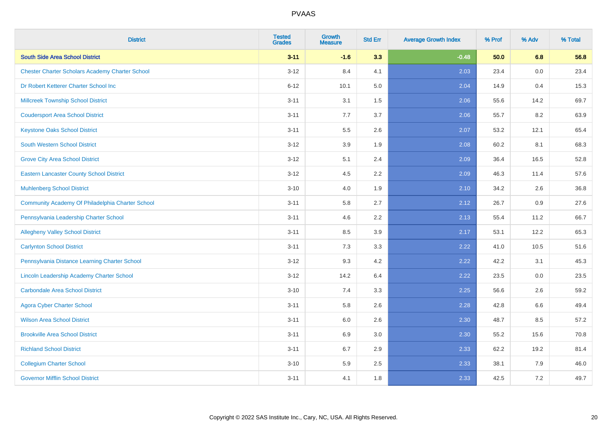| <b>District</b>                                        | <b>Tested</b><br><b>Grades</b> | <b>Growth</b><br><b>Measure</b> | <b>Std Err</b> | <b>Average Growth Index</b> | % Prof | % Adv | % Total |
|--------------------------------------------------------|--------------------------------|---------------------------------|----------------|-----------------------------|--------|-------|---------|
| <b>South Side Area School District</b>                 | $3 - 11$                       | $-1.6$                          | 3.3            | $-0.48$                     | 50.0   | 6.8   | 56.8    |
| <b>Chester Charter Scholars Academy Charter School</b> | $3 - 12$                       | 8.4                             | 4.1            | 2.03                        | 23.4   | 0.0   | 23.4    |
| Dr Robert Ketterer Charter School Inc                  | $6 - 12$                       | 10.1                            | 5.0            | 2.04                        | 14.9   | 0.4   | 15.3    |
| <b>Millcreek Township School District</b>              | $3 - 11$                       | 3.1                             | 1.5            | 2.06                        | 55.6   | 14.2  | 69.7    |
| <b>Coudersport Area School District</b>                | $3 - 11$                       | 7.7                             | 3.7            | 2.06                        | 55.7   | 8.2   | 63.9    |
| <b>Keystone Oaks School District</b>                   | $3 - 11$                       | 5.5                             | 2.6            | 2.07                        | 53.2   | 12.1  | 65.4    |
| <b>South Western School District</b>                   | $3 - 12$                       | 3.9                             | 1.9            | 2.08                        | 60.2   | 8.1   | 68.3    |
| <b>Grove City Area School District</b>                 | $3 - 12$                       | 5.1                             | 2.4            | 2.09                        | 36.4   | 16.5  | 52.8    |
| <b>Eastern Lancaster County School District</b>        | $3 - 12$                       | 4.5                             | 2.2            | 2.09                        | 46.3   | 11.4  | 57.6    |
| <b>Muhlenberg School District</b>                      | $3 - 10$                       | 4.0                             | 1.9            | 2.10                        | 34.2   | 2.6   | 36.8    |
| Community Academy Of Philadelphia Charter School       | $3 - 11$                       | 5.8                             | 2.7            | 2.12                        | 26.7   | 0.9   | 27.6    |
| Pennsylvania Leadership Charter School                 | $3 - 11$                       | 4.6                             | 2.2            | 2.13                        | 55.4   | 11.2  | 66.7    |
| <b>Allegheny Valley School District</b>                | $3 - 11$                       | 8.5                             | 3.9            | 2.17                        | 53.1   | 12.2  | 65.3    |
| <b>Carlynton School District</b>                       | $3 - 11$                       | 7.3                             | 3.3            | 2.22                        | 41.0   | 10.5  | 51.6    |
| Pennsylvania Distance Learning Charter School          | $3 - 12$                       | 9.3                             | 4.2            | 2.22                        | 42.2   | 3.1   | 45.3    |
| Lincoln Leadership Academy Charter School              | $3 - 12$                       | 14.2                            | 6.4            | 2.22                        | 23.5   | 0.0   | 23.5    |
| <b>Carbondale Area School District</b>                 | $3 - 10$                       | 7.4                             | 3.3            | 2.25                        | 56.6   | 2.6   | 59.2    |
| <b>Agora Cyber Charter School</b>                      | $3 - 11$                       | 5.8                             | 2.6            | 2.28                        | 42.8   | 6.6   | 49.4    |
| <b>Wilson Area School District</b>                     | $3 - 11$                       | 6.0                             | 2.6            | 2.30                        | 48.7   | 8.5   | 57.2    |
| <b>Brookville Area School District</b>                 | $3 - 11$                       | 6.9                             | 3.0            | 2.30                        | 55.2   | 15.6  | 70.8    |
| <b>Richland School District</b>                        | $3 - 11$                       | 6.7                             | 2.9            | 2.33                        | 62.2   | 19.2  | 81.4    |
| <b>Collegium Charter School</b>                        | $3 - 10$                       | 5.9                             | 2.5            | 2.33                        | 38.1   | 7.9   | 46.0    |
| <b>Governor Mifflin School District</b>                | $3 - 11$                       | 4.1                             | 1.8            | 2.33                        | 42.5   | 7.2   | 49.7    |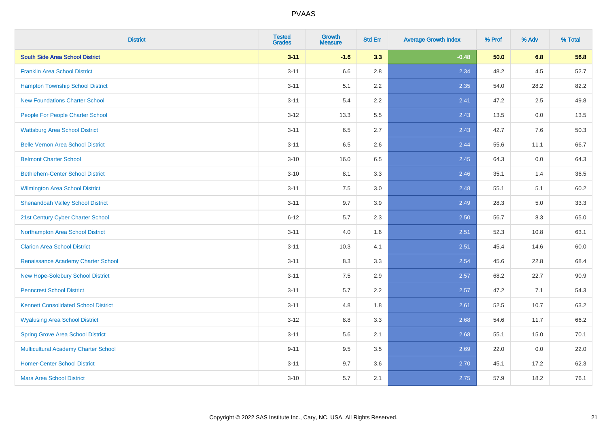| <b>District</b>                             | <b>Tested</b><br><b>Grades</b> | <b>Growth</b><br><b>Measure</b> | <b>Std Err</b> | <b>Average Growth Index</b> | % Prof | % Adv | % Total |
|---------------------------------------------|--------------------------------|---------------------------------|----------------|-----------------------------|--------|-------|---------|
| <b>South Side Area School District</b>      | $3 - 11$                       | $-1.6$                          | 3.3            | $-0.48$                     | 50.0   | 6.8   | 56.8    |
| <b>Franklin Area School District</b>        | $3 - 11$                       | 6.6                             | 2.8            | 2.34                        | 48.2   | 4.5   | 52.7    |
| <b>Hampton Township School District</b>     | $3 - 11$                       | 5.1                             | 2.2            | 2.35                        | 54.0   | 28.2  | 82.2    |
| <b>New Foundations Charter School</b>       | $3 - 11$                       | 5.4                             | 2.2            | 2.41                        | 47.2   | 2.5   | 49.8    |
| People For People Charter School            | $3 - 12$                       | 13.3                            | 5.5            | 2.43                        | 13.5   | 0.0   | 13.5    |
| <b>Wattsburg Area School District</b>       | $3 - 11$                       | 6.5                             | 2.7            | 2.43                        | 42.7   | 7.6   | 50.3    |
| <b>Belle Vernon Area School District</b>    | $3 - 11$                       | 6.5                             | 2.6            | 2.44                        | 55.6   | 11.1  | 66.7    |
| <b>Belmont Charter School</b>               | $3 - 10$                       | 16.0                            | 6.5            | 2.45                        | 64.3   | 0.0   | 64.3    |
| <b>Bethlehem-Center School District</b>     | $3 - 10$                       | 8.1                             | 3.3            | 2.46                        | 35.1   | 1.4   | 36.5    |
| <b>Wilmington Area School District</b>      | $3 - 11$                       | 7.5                             | 3.0            | 2.48                        | 55.1   | 5.1   | 60.2    |
| <b>Shenandoah Valley School District</b>    | $3 - 11$                       | 9.7                             | 3.9            | 2.49                        | 28.3   | 5.0   | 33.3    |
| 21st Century Cyber Charter School           | $6 - 12$                       | 5.7                             | 2.3            | 2.50                        | 56.7   | 8.3   | 65.0    |
| Northampton Area School District            | $3 - 11$                       | 4.0                             | 1.6            | 2.51                        | 52.3   | 10.8  | 63.1    |
| <b>Clarion Area School District</b>         | $3 - 11$                       | 10.3                            | 4.1            | 2.51                        | 45.4   | 14.6  | 60.0    |
| Renaissance Academy Charter School          | $3 - 11$                       | 8.3                             | 3.3            | 2.54                        | 45.6   | 22.8  | 68.4    |
| New Hope-Solebury School District           | $3 - 11$                       | $7.5\,$                         | 2.9            | 2.57                        | 68.2   | 22.7  | 90.9    |
| <b>Penncrest School District</b>            | $3 - 11$                       | 5.7                             | 2.2            | 2.57                        | 47.2   | 7.1   | 54.3    |
| <b>Kennett Consolidated School District</b> | $3 - 11$                       | 4.8                             | 1.8            | 2.61                        | 52.5   | 10.7  | 63.2    |
| <b>Wyalusing Area School District</b>       | $3 - 12$                       | $8.8\,$                         | 3.3            | 2.68                        | 54.6   | 11.7  | 66.2    |
| <b>Spring Grove Area School District</b>    | $3 - 11$                       | 5.6                             | 2.1            | 2.68                        | 55.1   | 15.0  | 70.1    |
| <b>Multicultural Academy Charter School</b> | $9 - 11$                       | 9.5                             | 3.5            | 2.69                        | 22.0   | 0.0   | 22.0    |
| <b>Homer-Center School District</b>         | $3 - 11$                       | 9.7                             | 3.6            | 2.70                        | 45.1   | 17.2  | 62.3    |
| <b>Mars Area School District</b>            | $3 - 10$                       | 5.7                             | 2.1            | 2.75                        | 57.9   | 18.2  | 76.1    |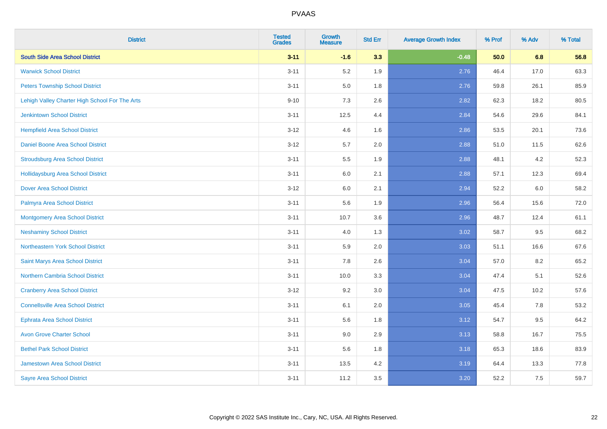| <b>District</b>                                | <b>Tested</b><br><b>Grades</b> | <b>Growth</b><br><b>Measure</b> | <b>Std Err</b> | <b>Average Growth Index</b> | % Prof | % Adv | % Total |
|------------------------------------------------|--------------------------------|---------------------------------|----------------|-----------------------------|--------|-------|---------|
| <b>South Side Area School District</b>         | $3 - 11$                       | $-1.6$                          | 3.3            | $-0.48$                     | 50.0   | 6.8   | 56.8    |
| <b>Warwick School District</b>                 | $3 - 11$                       | 5.2                             | 1.9            | 2.76                        | 46.4   | 17.0  | 63.3    |
| <b>Peters Township School District</b>         | $3 - 11$                       | 5.0                             | 1.8            | 2.76                        | 59.8   | 26.1  | 85.9    |
| Lehigh Valley Charter High School For The Arts | $9 - 10$                       | 7.3                             | 2.6            | 2.82                        | 62.3   | 18.2  | 80.5    |
| <b>Jenkintown School District</b>              | $3 - 11$                       | 12.5                            | 4.4            | 2.84                        | 54.6   | 29.6  | 84.1    |
| <b>Hempfield Area School District</b>          | $3 - 12$                       | 4.6                             | 1.6            | 2.86                        | 53.5   | 20.1  | 73.6    |
| Daniel Boone Area School District              | $3 - 12$                       | 5.7                             | 2.0            | 2.88                        | 51.0   | 11.5  | 62.6    |
| <b>Stroudsburg Area School District</b>        | $3 - 11$                       | $5.5\,$                         | 1.9            | 2.88                        | 48.1   | 4.2   | 52.3    |
| <b>Hollidaysburg Area School District</b>      | $3 - 11$                       | 6.0                             | 2.1            | 2.88                        | 57.1   | 12.3  | 69.4    |
| <b>Dover Area School District</b>              | $3 - 12$                       | 6.0                             | 2.1            | 2.94                        | 52.2   | 6.0   | 58.2    |
| Palmyra Area School District                   | $3 - 11$                       | 5.6                             | 1.9            | 2.96                        | 56.4   | 15.6  | 72.0    |
| <b>Montgomery Area School District</b>         | $3 - 11$                       | 10.7                            | 3.6            | 2.96                        | 48.7   | 12.4  | 61.1    |
| <b>Neshaminy School District</b>               | $3 - 11$                       | 4.0                             | 1.3            | 3.02                        | 58.7   | 9.5   | 68.2    |
| Northeastern York School District              | $3 - 11$                       | 5.9                             | 2.0            | 3.03                        | 51.1   | 16.6  | 67.6    |
| Saint Marys Area School District               | $3 - 11$                       | 7.8                             | 2.6            | 3.04                        | 57.0   | 8.2   | 65.2    |
| <b>Northern Cambria School District</b>        | $3 - 11$                       | 10.0                            | 3.3            | 3.04                        | 47.4   | 5.1   | 52.6    |
| <b>Cranberry Area School District</b>          | $3 - 12$                       | 9.2                             | 3.0            | 3.04                        | 47.5   | 10.2  | 57.6    |
| <b>Connellsville Area School District</b>      | $3 - 11$                       | 6.1                             | 2.0            | 3.05                        | 45.4   | 7.8   | 53.2    |
| <b>Ephrata Area School District</b>            | $3 - 11$                       | 5.6                             | 1.8            | 3.12                        | 54.7   | 9.5   | 64.2    |
| <b>Avon Grove Charter School</b>               | $3 - 11$                       | 9.0                             | 2.9            | 3.13                        | 58.8   | 16.7  | 75.5    |
| <b>Bethel Park School District</b>             | $3 - 11$                       | 5.6                             | 1.8            | 3.18                        | 65.3   | 18.6  | 83.9    |
| Jamestown Area School District                 | $3 - 11$                       | 13.5                            | 4.2            | 3.19                        | 64.4   | 13.3  | 77.8    |
| <b>Sayre Area School District</b>              | $3 - 11$                       | 11.2                            | 3.5            | 3.20                        | 52.2   | 7.5   | 59.7    |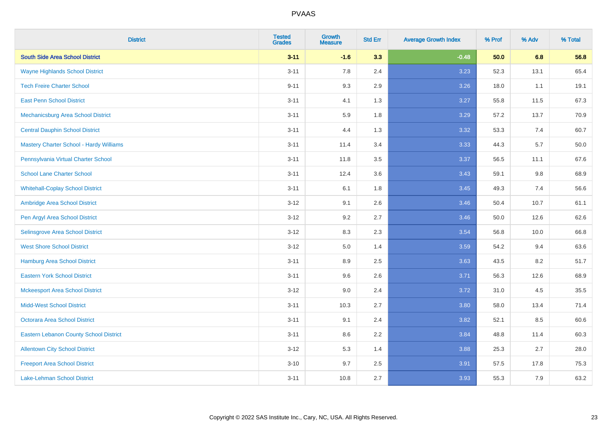| <b>District</b>                                | <b>Tested</b><br><b>Grades</b> | <b>Growth</b><br><b>Measure</b> | <b>Std Err</b> | <b>Average Growth Index</b> | % Prof | % Adv | % Total |
|------------------------------------------------|--------------------------------|---------------------------------|----------------|-----------------------------|--------|-------|---------|
| <b>South Side Area School District</b>         | $3 - 11$                       | $-1.6$                          | 3.3            | $-0.48$                     | 50.0   | 6.8   | 56.8    |
| <b>Wayne Highlands School District</b>         | $3 - 11$                       | 7.8                             | 2.4            | 3.23                        | 52.3   | 13.1  | 65.4    |
| <b>Tech Freire Charter School</b>              | $9 - 11$                       | 9.3                             | 2.9            | 3.26                        | 18.0   | 1.1   | 19.1    |
| <b>East Penn School District</b>               | $3 - 11$                       | 4.1                             | 1.3            | 3.27                        | 55.8   | 11.5  | 67.3    |
| Mechanicsburg Area School District             | $3 - 11$                       | 5.9                             | 1.8            | 3.29                        | 57.2   | 13.7  | 70.9    |
| <b>Central Dauphin School District</b>         | $3 - 11$                       | 4.4                             | 1.3            | 3.32                        | 53.3   | 7.4   | 60.7    |
| <b>Mastery Charter School - Hardy Williams</b> | $3 - 11$                       | 11.4                            | 3.4            | 3.33                        | 44.3   | 5.7   | 50.0    |
| Pennsylvania Virtual Charter School            | $3 - 11$                       | 11.8                            | 3.5            | 3.37                        | 56.5   | 11.1  | 67.6    |
| <b>School Lane Charter School</b>              | $3 - 11$                       | 12.4                            | 3.6            | 3.43                        | 59.1   | 9.8   | 68.9    |
| <b>Whitehall-Coplay School District</b>        | $3 - 11$                       | 6.1                             | 1.8            | 3.45                        | 49.3   | 7.4   | 56.6    |
| Ambridge Area School District                  | $3 - 12$                       | 9.1                             | 2.6            | 3.46                        | 50.4   | 10.7  | 61.1    |
| Pen Argyl Area School District                 | $3 - 12$                       | 9.2                             | 2.7            | 3.46                        | 50.0   | 12.6  | 62.6    |
| Selinsgrove Area School District               | $3 - 12$                       | 8.3                             | 2.3            | 3.54                        | 56.8   | 10.0  | 66.8    |
| <b>West Shore School District</b>              | $3-12$                         | $5.0\,$                         | 1.4            | 3.59                        | 54.2   | 9.4   | 63.6    |
| Hamburg Area School District                   | $3 - 11$                       | 8.9                             | 2.5            | 3.63                        | 43.5   | 8.2   | 51.7    |
| <b>Eastern York School District</b>            | $3 - 11$                       | 9.6                             | 2.6            | 3.71                        | 56.3   | 12.6  | 68.9    |
| <b>Mckeesport Area School District</b>         | $3-12$                         | 9.0                             | 2.4            | 3.72                        | 31.0   | 4.5   | 35.5    |
| <b>Midd-West School District</b>               | $3 - 11$                       | 10.3                            | 2.7            | 3.80                        | 58.0   | 13.4  | 71.4    |
| <b>Octorara Area School District</b>           | $3 - 11$                       | 9.1                             | 2.4            | 3.82                        | 52.1   | 8.5   | 60.6    |
| <b>Eastern Lebanon County School District</b>  | $3 - 11$                       | 8.6                             | 2.2            | 3.84                        | 48.8   | 11.4  | 60.3    |
| <b>Allentown City School District</b>          | $3-12$                         | 5.3                             | 1.4            | 3.88                        | 25.3   | 2.7   | 28.0    |
| <b>Freeport Area School District</b>           | $3 - 10$                       | 9.7                             | 2.5            | 3.91                        | 57.5   | 17.8  | 75.3    |
| Lake-Lehman School District                    | $3 - 11$                       | 10.8                            | 2.7            | 3.93                        | 55.3   | 7.9   | 63.2    |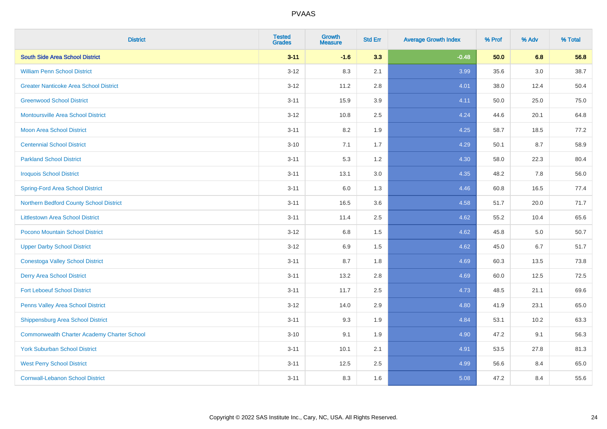| <b>District</b>                                    | <b>Tested</b><br><b>Grades</b> | <b>Growth</b><br><b>Measure</b> | <b>Std Err</b> | <b>Average Growth Index</b> | % Prof | % Adv   | % Total |
|----------------------------------------------------|--------------------------------|---------------------------------|----------------|-----------------------------|--------|---------|---------|
| <b>South Side Area School District</b>             | $3 - 11$                       | $-1.6$                          | 3.3            | $-0.48$                     | 50.0   | 6.8     | 56.8    |
| <b>William Penn School District</b>                | $3 - 12$                       | 8.3                             | 2.1            | 3.99                        | 35.6   | $3.0\,$ | 38.7    |
| <b>Greater Nanticoke Area School District</b>      | $3 - 12$                       | 11.2                            | 2.8            | 4.01                        | 38.0   | 12.4    | 50.4    |
| <b>Greenwood School District</b>                   | $3 - 11$                       | 15.9                            | 3.9            | 4.11                        | 50.0   | 25.0    | 75.0    |
| <b>Montoursville Area School District</b>          | $3 - 12$                       | 10.8                            | 2.5            | 4.24                        | 44.6   | 20.1    | 64.8    |
| <b>Moon Area School District</b>                   | $3 - 11$                       | 8.2                             | 1.9            | 4.25                        | 58.7   | 18.5    | 77.2    |
| <b>Centennial School District</b>                  | $3 - 10$                       | 7.1                             | 1.7            | 4.29                        | 50.1   | 8.7     | 58.9    |
| <b>Parkland School District</b>                    | $3 - 11$                       | 5.3                             | 1.2            | 4.30                        | 58.0   | 22.3    | 80.4    |
| <b>Iroquois School District</b>                    | $3 - 11$                       | 13.1                            | 3.0            | 4.35                        | 48.2   | 7.8     | 56.0    |
| <b>Spring-Ford Area School District</b>            | $3 - 11$                       | 6.0                             | 1.3            | 4.46                        | 60.8   | 16.5    | 77.4    |
| Northern Bedford County School District            | $3 - 11$                       | 16.5                            | 3.6            | 4.58                        | 51.7   | 20.0    | 71.7    |
| <b>Littlestown Area School District</b>            | $3 - 11$                       | 11.4                            | 2.5            | 4.62                        | 55.2   | 10.4    | 65.6    |
| Pocono Mountain School District                    | $3 - 12$                       | $6.8\,$                         | 1.5            | 4.62                        | 45.8   | 5.0     | 50.7    |
| <b>Upper Darby School District</b>                 | $3-12$                         | 6.9                             | 1.5            | 4.62                        | 45.0   | 6.7     | 51.7    |
| <b>Conestoga Valley School District</b>            | $3 - 11$                       | 8.7                             | 1.8            | 4.69                        | 60.3   | 13.5    | 73.8    |
| <b>Derry Area School District</b>                  | $3 - 11$                       | 13.2                            | 2.8            | 4.69                        | 60.0   | 12.5    | 72.5    |
| <b>Fort Leboeuf School District</b>                | $3 - 11$                       | 11.7                            | 2.5            | 4.73                        | 48.5   | 21.1    | 69.6    |
| Penns Valley Area School District                  | $3 - 12$                       | 14.0                            | 2.9            | 4.80                        | 41.9   | 23.1    | 65.0    |
| Shippensburg Area School District                  | $3 - 11$                       | 9.3                             | 1.9            | 4.84                        | 53.1   | 10.2    | 63.3    |
| <b>Commonwealth Charter Academy Charter School</b> | $3 - 10$                       | 9.1                             | 1.9            | 4.90                        | 47.2   | 9.1     | 56.3    |
| <b>York Suburban School District</b>               | $3 - 11$                       | 10.1                            | 2.1            | 4.91                        | 53.5   | 27.8    | 81.3    |
| <b>West Perry School District</b>                  | $3 - 11$                       | 12.5                            | 2.5            | 4.99                        | 56.6   | 8.4     | 65.0    |
| <b>Cornwall-Lebanon School District</b>            | $3 - 11$                       | 8.3                             | 1.6            | 5.08                        | 47.2   | 8.4     | 55.6    |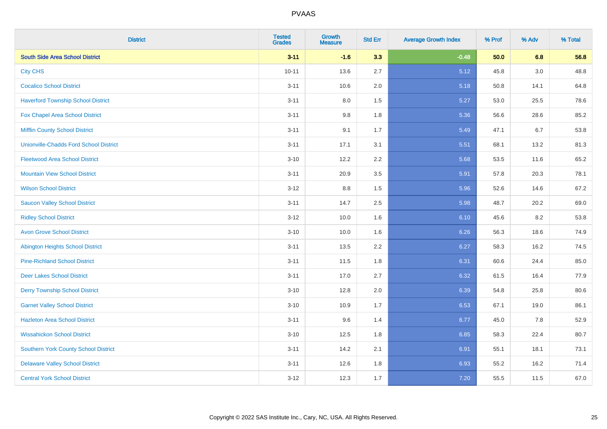| <b>District</b>                               | <b>Tested</b><br><b>Grades</b> | <b>Growth</b><br><b>Measure</b> | <b>Std Err</b> | <b>Average Growth Index</b> | % Prof | % Adv | % Total |
|-----------------------------------------------|--------------------------------|---------------------------------|----------------|-----------------------------|--------|-------|---------|
| <b>South Side Area School District</b>        | $3 - 11$                       | $-1.6$                          | 3.3            | $-0.48$                     | 50.0   | 6.8   | 56.8    |
| <b>City CHS</b>                               | $10 - 11$                      | 13.6                            | 2.7            | 5.12                        | 45.8   | 3.0   | 48.8    |
| <b>Cocalico School District</b>               | $3 - 11$                       | 10.6                            | 2.0            | 5.18                        | 50.8   | 14.1  | 64.8    |
| <b>Haverford Township School District</b>     | $3 - 11$                       | $8.0\,$                         | 1.5            | 5.27                        | 53.0   | 25.5  | 78.6    |
| <b>Fox Chapel Area School District</b>        | $3 - 11$                       | 9.8                             | 1.8            | 5.36                        | 56.6   | 28.6  | 85.2    |
| <b>Mifflin County School District</b>         | $3 - 11$                       | 9.1                             | 1.7            | 5.49                        | 47.1   | 6.7   | 53.8    |
| <b>Unionville-Chadds Ford School District</b> | $3 - 11$                       | 17.1                            | 3.1            | 5.51                        | 68.1   | 13.2  | 81.3    |
| <b>Fleetwood Area School District</b>         | $3 - 10$                       | 12.2                            | 2.2            | 5.68                        | 53.5   | 11.6  | 65.2    |
| <b>Mountain View School District</b>          | $3 - 11$                       | 20.9                            | 3.5            | 5.91                        | 57.8   | 20.3  | 78.1    |
| <b>Wilson School District</b>                 | $3 - 12$                       | 8.8                             | 1.5            | 5.96                        | 52.6   | 14.6  | 67.2    |
| <b>Saucon Valley School District</b>          | $3 - 11$                       | 14.7                            | 2.5            | 5.98                        | 48.7   | 20.2  | 69.0    |
| <b>Ridley School District</b>                 | $3 - 12$                       | 10.0                            | 1.6            | 6.10                        | 45.6   | 8.2   | 53.8    |
| <b>Avon Grove School District</b>             | $3 - 10$                       | 10.0                            | 1.6            | 6.26                        | 56.3   | 18.6  | 74.9    |
| <b>Abington Heights School District</b>       | $3 - 11$                       | 13.5                            | 2.2            | 6.27                        | 58.3   | 16.2  | 74.5    |
| <b>Pine-Richland School District</b>          | $3 - 11$                       | 11.5                            | 1.8            | 6.31                        | 60.6   | 24.4  | 85.0    |
| <b>Deer Lakes School District</b>             | $3 - 11$                       | 17.0                            | 2.7            | 6.32                        | 61.5   | 16.4  | 77.9    |
| <b>Derry Township School District</b>         | $3 - 10$                       | 12.8                            | 2.0            | 6.39                        | 54.8   | 25.8  | 80.6    |
| <b>Garnet Valley School District</b>          | $3 - 10$                       | 10.9                            | 1.7            | 6.53                        | 67.1   | 19.0  | 86.1    |
| <b>Hazleton Area School District</b>          | $3 - 11$                       | 9.6                             | 1.4            | 6.77                        | 45.0   | 7.8   | 52.9    |
| <b>Wissahickon School District</b>            | $3 - 10$                       | 12.5                            | 1.8            | 6.85                        | 58.3   | 22.4  | 80.7    |
| <b>Southern York County School District</b>   | $3 - 11$                       | 14.2                            | 2.1            | 6.91                        | 55.1   | 18.1  | 73.1    |
| <b>Delaware Valley School District</b>        | $3 - 11$                       | 12.6                            | 1.8            | 6.93                        | 55.2   | 16.2  | 71.4    |
| <b>Central York School District</b>           | $3 - 12$                       | 12.3                            | 1.7            | 7.20                        | 55.5   | 11.5  | 67.0    |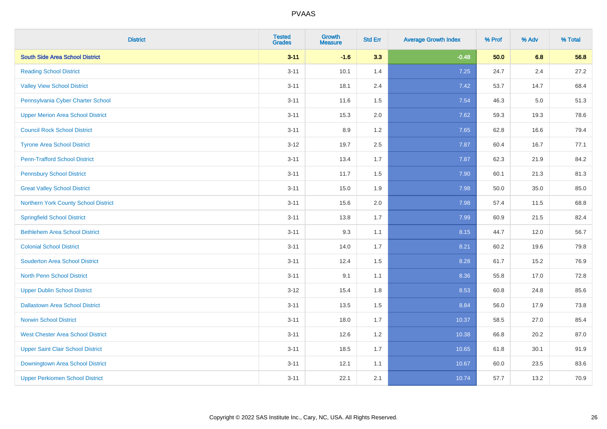| <b>District</b>                          | <b>Tested</b><br><b>Grades</b> | <b>Growth</b><br><b>Measure</b> | <b>Std Err</b> | <b>Average Growth Index</b> | % Prof | % Adv | % Total |
|------------------------------------------|--------------------------------|---------------------------------|----------------|-----------------------------|--------|-------|---------|
| <b>South Side Area School District</b>   | $3 - 11$                       | $-1.6$                          | 3.3            | $-0.48$                     | 50.0   | 6.8   | 56.8    |
| <b>Reading School District</b>           | $3 - 11$                       | 10.1                            | 1.4            | 7.25                        | 24.7   | 2.4   | 27.2    |
| <b>Valley View School District</b>       | $3 - 11$                       | 18.1                            | 2.4            | 7.42                        | 53.7   | 14.7  | 68.4    |
| Pennsylvania Cyber Charter School        | $3 - 11$                       | 11.6                            | 1.5            | 7.54                        | 46.3   | 5.0   | 51.3    |
| <b>Upper Merion Area School District</b> | $3 - 11$                       | 15.3                            | 2.0            | 7.62                        | 59.3   | 19.3  | 78.6    |
| <b>Council Rock School District</b>      | $3 - 11$                       | 8.9                             | 1.2            | 7.65                        | 62.8   | 16.6  | 79.4    |
| <b>Tyrone Area School District</b>       | $3-12$                         | 19.7                            | 2.5            | 7.87                        | 60.4   | 16.7  | 77.1    |
| <b>Penn-Trafford School District</b>     | $3 - 11$                       | 13.4                            | 1.7            | 7.87                        | 62.3   | 21.9  | 84.2    |
| <b>Pennsbury School District</b>         | $3 - 11$                       | 11.7                            | 1.5            | 7.90                        | 60.1   | 21.3  | 81.3    |
| <b>Great Valley School District</b>      | $3 - 11$                       | 15.0                            | 1.9            | 7.98                        | 50.0   | 35.0  | 85.0    |
| Northern York County School District     | $3 - 11$                       | 15.6                            | 2.0            | 7.98                        | 57.4   | 11.5  | 68.8    |
| <b>Springfield School District</b>       | $3 - 11$                       | 13.8                            | 1.7            | 7.99                        | 60.9   | 21.5  | 82.4    |
| <b>Bethlehem Area School District</b>    | $3 - 11$                       | 9.3                             | 1.1            | 8.15                        | 44.7   | 12.0  | 56.7    |
| <b>Colonial School District</b>          | $3 - 11$                       | 14.0                            | 1.7            | 8.21                        | 60.2   | 19.6  | 79.8    |
| <b>Souderton Area School District</b>    | $3 - 11$                       | 12.4                            | 1.5            | 8.28                        | 61.7   | 15.2  | 76.9    |
| <b>North Penn School District</b>        | $3 - 11$                       | 9.1                             | 1.1            | 8.36                        | 55.8   | 17.0  | 72.8    |
| <b>Upper Dublin School District</b>      | $3-12$                         | 15.4                            | 1.8            | 8.53                        | 60.8   | 24.8  | 85.6    |
| <b>Dallastown Area School District</b>   | $3 - 11$                       | 13.5                            | 1.5            | 8.84                        | 56.0   | 17.9  | 73.8    |
| <b>Norwin School District</b>            | $3 - 11$                       | 18.0                            | 1.7            | 10.37                       | 58.5   | 27.0  | 85.4    |
| <b>West Chester Area School District</b> | $3 - 11$                       | 12.6                            | 1.2            | 10.38                       | 66.8   | 20.2  | 87.0    |
| <b>Upper Saint Clair School District</b> | $3 - 11$                       | 18.5                            | 1.7            | 10.65                       | 61.8   | 30.1  | 91.9    |
| Downingtown Area School District         | $3 - 11$                       | 12.1                            | 1.1            | 10.67                       | 60.0   | 23.5  | 83.6    |
| <b>Upper Perkiomen School District</b>   | $3 - 11$                       | 22.1                            | 2.1            | 10.74                       | 57.7   | 13.2  | 70.9    |